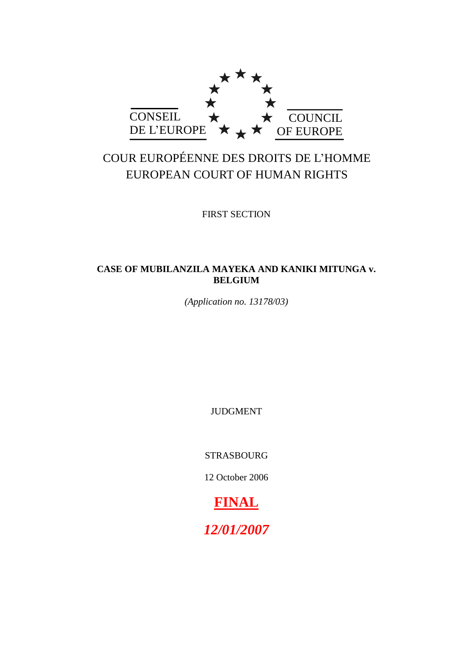

# COUR EUROPÉENNE DES DROITS DE L"HOMME EUROPEAN COURT OF HUMAN RIGHTS

FIRST SECTION

# **CASE OF MUBILANZILA MAYEKA AND KANIKI MITUNGA v. BELGIUM**

*(Application no. 13178/03)*

JUDGMENT

STRASBOURG

12 October 2006

**FINAL**

*12/01/2007*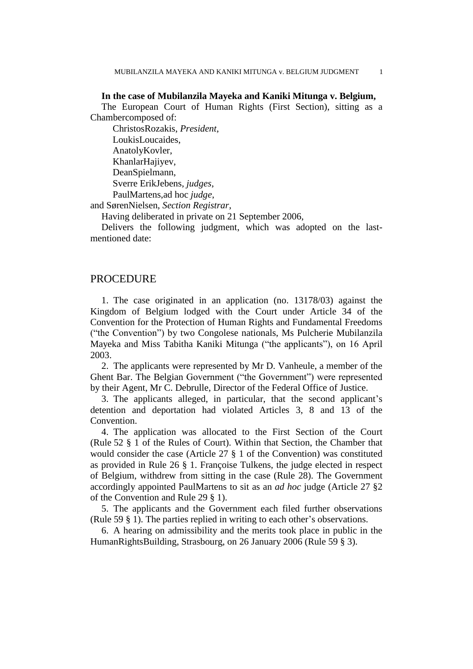# **In the case of Mubilanzila Mayeka and Kaniki Mitunga v. Belgium,**

The European Court of Human Rights (First Section), sitting as a Chambercomposed of:

ChristosRozakis, *President*, LoukisLoucaides, AnatolyKovler, KhanlarHajiyev, DeanSpielmann, Sverre ErikJebens, *judges*, PaulMartens,ad hoc *judge*,

and SørenNielsen, *Section Registrar*,

Having deliberated in private on 21 September 2006,

Delivers the following judgment, which was adopted on the lastmentioned date:

# PROCEDURE

1. The case originated in an application (no. 13178/03) against the Kingdom of Belgium lodged with the Court under Article 34 of the Convention for the Protection of Human Rights and Fundamental Freedoms ("the Convention") by two Congolese nationals, Ms Pulcherie Mubilanzila Mayeka and Miss Tabitha Kaniki Mitunga ("the applicants"), on 16 April 2003.

2. The applicants were represented by Mr D. Vanheule, a member of the Ghent Bar. The Belgian Government ("the Government") were represented by their Agent, Mr C. Debrulle, Director of the Federal Office of Justice.

3. The applicants alleged, in particular, that the second applicant"s detention and deportation had violated Articles 3, 8 and 13 of the Convention.

4. The application was allocated to the First Section of the Court (Rule 52 § 1 of the Rules of Court). Within that Section, the Chamber that would consider the case (Article 27 § 1 of the Convention) was constituted as provided in Rule 26 § 1. Françoise Tulkens, the judge elected in respect of Belgium, withdrew from sitting in the case (Rule 28). The Government accordingly appointed PaulMartens to sit as an *ad hoc* judge (Article 27 §2 of the Convention and Rule 29 § 1).

5. The applicants and the Government each filed further observations (Rule 59 § 1). The parties replied in writing to each other"s observations.

6. A hearing on admissibility and the merits took place in public in the HumanRightsBuilding, Strasbourg, on 26 January 2006 (Rule 59 § 3).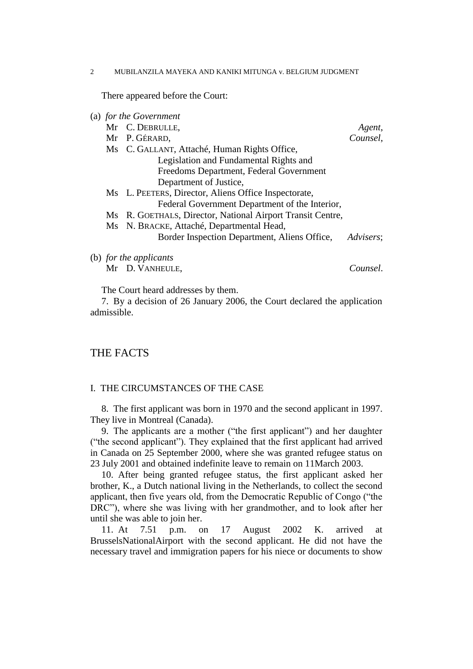There appeared before the Court:

| (a) for the Government   |  |                                                            |           |
|--------------------------|--|------------------------------------------------------------|-----------|
|                          |  | Mr C. DEBRULLE,                                            | Agent,    |
|                          |  | Mr P. GÉRARD,                                              | Counsel,  |
|                          |  | Ms C. GALLANT, Attaché, Human Rights Office,               |           |
|                          |  | Legislation and Fundamental Rights and                     |           |
|                          |  | Freedoms Department, Federal Government                    |           |
|                          |  | Department of Justice,                                     |           |
|                          |  | Ms L. PEETERS, Director, Aliens Office Inspectorate,       |           |
|                          |  | Federal Government Department of the Interior,             |           |
|                          |  | Ms R. GOETHALS, Director, National Airport Transit Centre, |           |
|                          |  | Ms N. BRACKE, Attaché, Departmental Head,                  |           |
|                          |  | Border Inspection Department, Aliens Office,               | Advisers: |
| $(h)$ for the applicants |  |                                                            |           |

(b) *for the applicants*

Mr D. VANHEULE, *Counsel*.

The Court heard addresses by them.

7. By a decision of 26 January 2006, the Court declared the application admissible.

# THE FACTS

# I. THE CIRCUMSTANCES OF THE CASE

8. The first applicant was born in 1970 and the second applicant in 1997. They live in Montreal (Canada).

9. The applicants are a mother ("the first applicant") and her daughter ("the second applicant"). They explained that the first applicant had arrived in Canada on 25 September 2000, where she was granted refugee status on 23 July 2001 and obtained indefinite leave to remain on 11March 2003.

10. After being granted refugee status, the first applicant asked her brother, K., a Dutch national living in the Netherlands, to collect the second applicant, then five years old, from the Democratic Republic of Congo ("the DRC"), where she was living with her grandmother, and to look after her until she was able to join her.

11. At 7.51 p.m. on 17 August 2002 K. arrived at BrusselsNationalAirport with the second applicant. He did not have the necessary travel and immigration papers for his niece or documents to show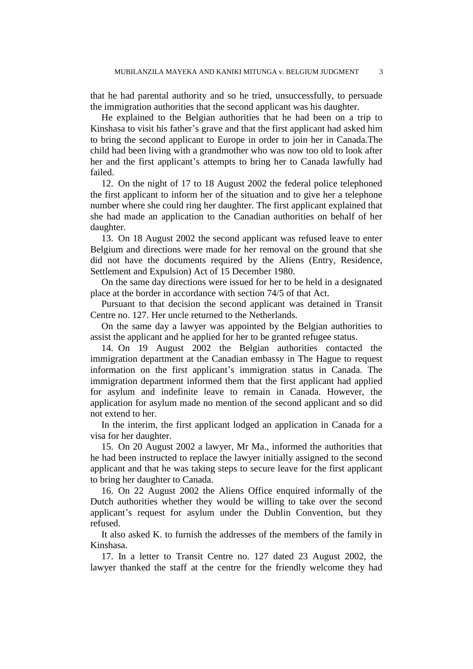that he had parental authority and so he tried, unsuccessfully, to persuade the immigration authorities that the second applicant was his daughter.

He explained to the Belgian authorities that he had been on a trip to Kinshasa to visit his father"s grave and that the first applicant had asked him to bring the second applicant to Europe in order to join her in Canada.The child had been living with a grandmother who was now too old to look after her and the first applicant"s attempts to bring her to Canada lawfully had failed.

12. On the night of 17 to 18 August 2002 the federal police telephoned the first applicant to inform her of the situation and to give her a telephone number where she could ring her daughter. The first applicant explained that she had made an application to the Canadian authorities on behalf of her daughter.

13. On 18 August 2002 the second applicant was refused leave to enter Belgium and directions were made for her removal on the ground that she did not have the documents required by the Aliens (Entry, Residence, Settlement and Expulsion) Act of 15 December 1980.

On the same day directions were issued for her to be held in a designated place at the border in accordance with section 74/5 of that Act.

Pursuant to that decision the second applicant was detained in Transit Centre no. 127. Her uncle returned to the Netherlands.

On the same day a lawyer was appointed by the Belgian authorities to assist the applicant and he applied for her to be granted refugee status.

14. On 19 August 2002 the Belgian authorities contacted the immigration department at the Canadian embassy in The Hague to request information on the first applicant"s immigration status in Canada. The immigration department informed them that the first applicant had applied for asylum and indefinite leave to remain in Canada. However, the application for asylum made no mention of the second applicant and so did not extend to her.

In the interim, the first applicant lodged an application in Canada for a visa for her daughter.

15. On 20 August 2002 a lawyer, Mr Ma., informed the authorities that he had been instructed to replace the lawyer initially assigned to the second applicant and that he was taking steps to secure leave for the first applicant to bring her daughter to Canada.

16. On 22 August 2002 the Aliens Office enquired informally of the Dutch authorities whether they would be willing to take over the second applicant's request for asylum under the Dublin Convention, but they refused.

It also asked K. to furnish the addresses of the members of the family in Kinshasa.

17. In a letter to Transit Centre no. 127 dated 23 August 2002, the lawyer thanked the staff at the centre for the friendly welcome they had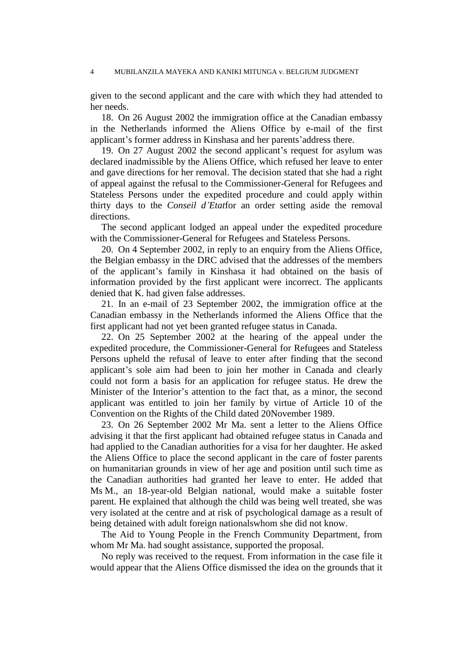given to the second applicant and the care with which they had attended to her needs.

18. On 26 August 2002 the immigration office at the Canadian embassy in the Netherlands informed the Aliens Office by e-mail of the first applicant"s former address in Kinshasa and her parents"address there.

19. On 27 August 2002 the second applicant's request for asylum was declared inadmissible by the Aliens Office, which refused her leave to enter and gave directions for her removal. The decision stated that she had a right of appeal against the refusal to the Commissioner-General for Refugees and Stateless Persons under the expedited procedure and could apply within thirty days to the *Conseil d'Etat*for an order setting aside the removal directions.

The second applicant lodged an appeal under the expedited procedure with the Commissioner-General for Refugees and Stateless Persons.

20. On 4 September 2002, in reply to an enquiry from the Aliens Office, the Belgian embassy in the DRC advised that the addresses of the members of the applicant"s family in Kinshasa it had obtained on the basis of information provided by the first applicant were incorrect. The applicants denied that K. had given false addresses.

21. In an e-mail of 23 September 2002, the immigration office at the Canadian embassy in the Netherlands informed the Aliens Office that the first applicant had not yet been granted refugee status in Canada.

22. On 25 September 2002 at the hearing of the appeal under the expedited procedure, the Commissioner-General for Refugees and Stateless Persons upheld the refusal of leave to enter after finding that the second applicant"s sole aim had been to join her mother in Canada and clearly could not form a basis for an application for refugee status. He drew the Minister of the Interior's attention to the fact that, as a minor, the second applicant was entitled to join her family by virtue of Article 10 of the Convention on the Rights of the Child dated 20November 1989.

23. On 26 September 2002 Mr Ma. sent a letter to the Aliens Office advising it that the first applicant had obtained refugee status in Canada and had applied to the Canadian authorities for a visa for her daughter. He asked the Aliens Office to place the second applicant in the care of foster parents on humanitarian grounds in view of her age and position until such time as the Canadian authorities had granted her leave to enter. He added that Ms M., an 18-year-old Belgian national, would make a suitable foster parent. He explained that although the child was being well treated, she was very isolated at the centre and at risk of psychological damage as a result of being detained with adult foreign nationalswhom she did not know.

The Aid to Young People in the French Community Department, from whom Mr Ma. had sought assistance, supported the proposal.

No reply was received to the request. From information in the case file it would appear that the Aliens Office dismissed the idea on the grounds that it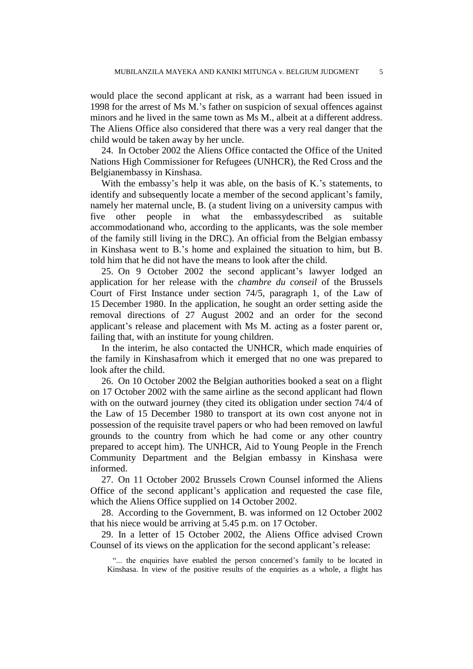would place the second applicant at risk, as a warrant had been issued in 1998 for the arrest of Ms M."s father on suspicion of sexual offences against minors and he lived in the same town as Ms M., albeit at a different address. The Aliens Office also considered that there was a very real danger that the child would be taken away by her uncle.

24. In October 2002 the Aliens Office contacted the Office of the United Nations High Commissioner for Refugees (UNHCR), the Red Cross and the Belgianembassy in Kinshasa.

With the embassy's help it was able, on the basis of K.'s statements, to identify and subsequently locate a member of the second applicant's family, namely her maternal uncle, B. (a student living on a university campus with five other people in what the embassydescribed as suitable accommodationand who, according to the applicants, was the sole member of the family still living in the DRC). An official from the Belgian embassy in Kinshasa went to B."s home and explained the situation to him, but B. told him that he did not have the means to look after the child.

25. On 9 October 2002 the second applicant"s lawyer lodged an application for her release with the *chambre du conseil* of the Brussels Court of First Instance under section 74/5, paragraph 1, of the Law of 15 December 1980. In the application, he sought an order setting aside the removal directions of 27 August 2002 and an order for the second applicant"s release and placement with Ms M. acting as a foster parent or, failing that, with an institute for young children.

In the interim, he also contacted the UNHCR, which made enquiries of the family in Kinshasafrom which it emerged that no one was prepared to look after the child.

26. On 10 October 2002 the Belgian authorities booked a seat on a flight on 17 October 2002 with the same airline as the second applicant had flown with on the outward journey (they cited its obligation under section 74/4 of the Law of 15 December 1980 to transport at its own cost anyone not in possession of the requisite travel papers or who had been removed on lawful grounds to the country from which he had come or any other country prepared to accept him). The UNHCR, Aid to Young People in the French Community Department and the Belgian embassy in Kinshasa were informed.

27. On 11 October 2002 Brussels Crown Counsel informed the Aliens Office of the second applicant"s application and requested the case file, which the Aliens Office supplied on 14 October 2002.

28. According to the Government, B. was informed on 12 October 2002 that his niece would be arriving at 5.45 p.m. on 17 October.

29. In a letter of 15 October 2002, the Aliens Office advised Crown Counsel of its views on the application for the second applicant's release:

"... the enquiries have enabled the person concerned's family to be located in Kinshasa. In view of the positive results of the enquiries as a whole, a flight has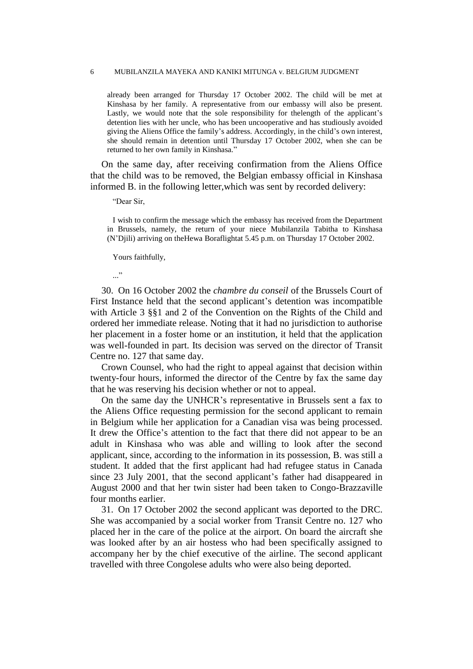already been arranged for Thursday 17 October 2002. The child will be met at Kinshasa by her family. A representative from our embassy will also be present. Lastly, we would note that the sole responsibility for the length of the applicant's detention lies with her uncle, who has been uncooperative and has studiously avoided giving the Aliens Office the family"s address. Accordingly, in the child"s own interest, she should remain in detention until Thursday 17 October 2002, when she can be returned to her own family in Kinshasa."

On the same day, after receiving confirmation from the Aliens Office that the child was to be removed, the Belgian embassy official in Kinshasa informed B. in the following letter,which was sent by recorded delivery:

"Dear Sir,

I wish to confirm the message which the embassy has received from the Department in Brussels, namely, the return of your niece Mubilanzila Tabitha to Kinshasa (N"Djili) arriving on theHewa Boraflightat 5.45 p.m. on Thursday 17 October 2002.

Yours faithfully,

..."

30. On 16 October 2002 the *chambre du conseil* of the Brussels Court of First Instance held that the second applicant's detention was incompatible with Article 3 §§1 and 2 of the Convention on the Rights of the Child and ordered her immediate release. Noting that it had no jurisdiction to authorise her placement in a foster home or an institution, it held that the application was well-founded in part. Its decision was served on the director of Transit Centre no. 127 that same day.

Crown Counsel, who had the right to appeal against that decision within twenty-four hours, informed the director of the Centre by fax the same day that he was reserving his decision whether or not to appeal.

On the same day the UNHCR"s representative in Brussels sent a fax to the Aliens Office requesting permission for the second applicant to remain in Belgium while her application for a Canadian visa was being processed. It drew the Office"s attention to the fact that there did not appear to be an adult in Kinshasa who was able and willing to look after the second applicant, since, according to the information in its possession, B. was still a student. It added that the first applicant had had refugee status in Canada since 23 July 2001, that the second applicant's father had disappeared in August 2000 and that her twin sister had been taken to Congo-Brazzaville four months earlier.

31. On 17 October 2002 the second applicant was deported to the DRC. She was accompanied by a social worker from Transit Centre no. 127 who placed her in the care of the police at the airport. On board the aircraft she was looked after by an air hostess who had been specifically assigned to accompany her by the chief executive of the airline. The second applicant travelled with three Congolese adults who were also being deported.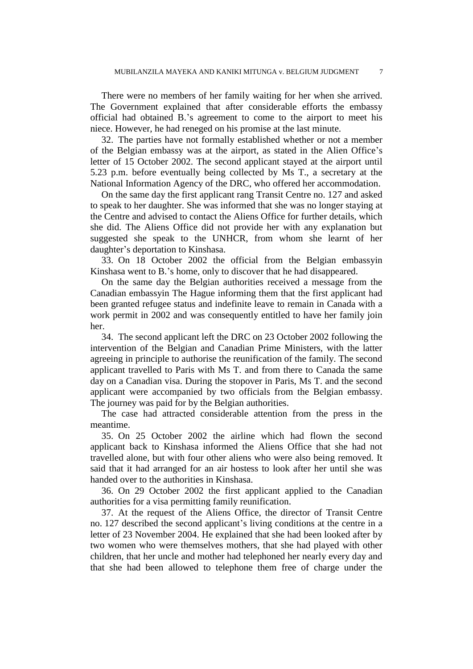There were no members of her family waiting for her when she arrived. The Government explained that after considerable efforts the embassy official had obtained B."s agreement to come to the airport to meet his niece. However, he had reneged on his promise at the last minute.

32. The parties have not formally established whether or not a member of the Belgian embassy was at the airport, as stated in the Alien Office"s letter of 15 October 2002. The second applicant stayed at the airport until 5.23 p.m. before eventually being collected by Ms T., a secretary at the National Information Agency of the DRC, who offered her accommodation.

On the same day the first applicant rang Transit Centre no. 127 and asked to speak to her daughter. She was informed that she was no longer staying at the Centre and advised to contact the Aliens Office for further details, which she did. The Aliens Office did not provide her with any explanation but suggested she speak to the UNHCR, from whom she learnt of her daughter"s deportation to Kinshasa.

33. On 18 October 2002 the official from the Belgian embassyin Kinshasa went to B.'s home, only to discover that he had disappeared.

On the same day the Belgian authorities received a message from the Canadian embassyin The Hague informing them that the first applicant had been granted refugee status and indefinite leave to remain in Canada with a work permit in 2002 and was consequently entitled to have her family join her.

34. The second applicant left the DRC on 23 October 2002 following the intervention of the Belgian and Canadian Prime Ministers, with the latter agreeing in principle to authorise the reunification of the family. The second applicant travelled to Paris with Ms T. and from there to Canada the same day on a Canadian visa. During the stopover in Paris, Ms T. and the second applicant were accompanied by two officials from the Belgian embassy. The journey was paid for by the Belgian authorities.

The case had attracted considerable attention from the press in the meantime.

35. On 25 October 2002 the airline which had flown the second applicant back to Kinshasa informed the Aliens Office that she had not travelled alone, but with four other aliens who were also being removed. It said that it had arranged for an air hostess to look after her until she was handed over to the authorities in Kinshasa.

36. On 29 October 2002 the first applicant applied to the Canadian authorities for a visa permitting family reunification.

37. At the request of the Aliens Office, the director of Transit Centre no. 127 described the second applicant"s living conditions at the centre in a letter of 23 November 2004. He explained that she had been looked after by two women who were themselves mothers, that she had played with other children, that her uncle and mother had telephoned her nearly every day and that she had been allowed to telephone them free of charge under the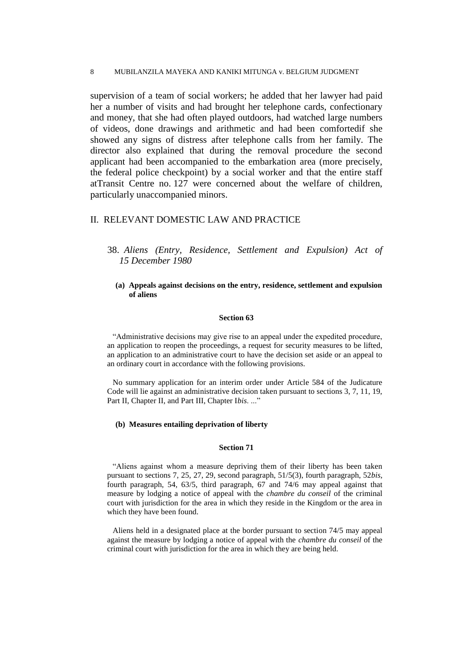supervision of a team of social workers; he added that her lawyer had paid her a number of visits and had brought her telephone cards, confectionary and money, that she had often played outdoors, had watched large numbers of videos, done drawings and arithmetic and had been comfortedif she showed any signs of distress after telephone calls from her family. The director also explained that during the removal procedure the second applicant had been accompanied to the embarkation area (more precisely, the federal police checkpoint) by a social worker and that the entire staff atTransit Centre no. 127 were concerned about the welfare of children, particularly unaccompanied minors.

# II. RELEVANT DOMESTIC LAW AND PRACTICE

# 38. *Aliens (Entry, Residence, Settlement and Expulsion) Act of 15 December 1980*

### **(a) Appeals against decisions on the entry, residence, settlement and expulsion of aliens**

#### **Section 63**

"Administrative decisions may give rise to an appeal under the expedited procedure, an application to reopen the proceedings, a request for security measures to be lifted, an application to an administrative court to have the decision set aside or an appeal to an ordinary court in accordance with the following provisions.

No summary application for an interim order under Article 584 of the Judicature Code will lie against an administrative decision taken pursuant to sections 3, 7, 11, 19, Part II, Chapter II, and Part III, Chapter Ibis. ..."

### **(b) Measures entailing deprivation of liberty**

#### **Section 71**

"Aliens against whom a measure depriving them of their liberty has been taken pursuant to sections 7, 25, 27, 29, second paragraph, 51/5(3), fourth paragraph, 52*bis*, fourth paragraph, 54, 63/5, third paragraph, 67 and 74/6 may appeal against that measure by lodging a notice of appeal with the *chambre du conseil* of the criminal court with jurisdiction for the area in which they reside in the Kingdom or the area in which they have been found.

Aliens held in a designated place at the border pursuant to section 74/5 may appeal against the measure by lodging a notice of appeal with the *chambre du conseil* of the criminal court with jurisdiction for the area in which they are being held.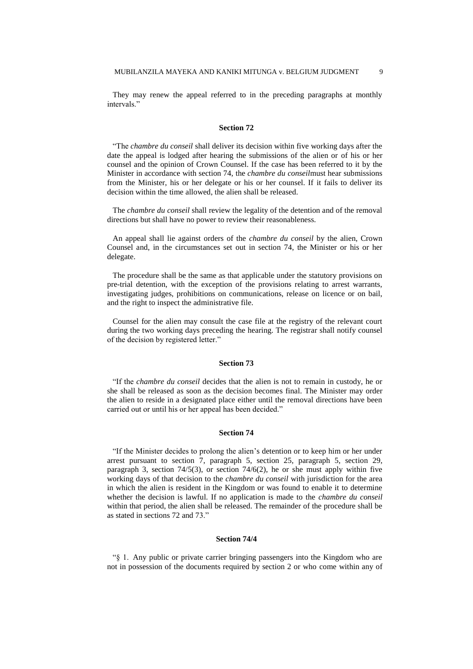They may renew the appeal referred to in the preceding paragraphs at monthly intervals."

### **Section 72**

"The *chambre du conseil* shall deliver its decision within five working days after the date the appeal is lodged after hearing the submissions of the alien or of his or her counsel and the opinion of Crown Counsel. If the case has been referred to it by the Minister in accordance with section 74, the *chambre du conseil*must hear submissions from the Minister, his or her delegate or his or her counsel. If it fails to deliver its decision within the time allowed, the alien shall be released.

The *chambre du conseil* shall review the legality of the detention and of the removal directions but shall have no power to review their reasonableness.

An appeal shall lie against orders of the *chambre du conseil* by the alien, Crown Counsel and, in the circumstances set out in section 74, the Minister or his or her delegate.

The procedure shall be the same as that applicable under the statutory provisions on pre-trial detention, with the exception of the provisions relating to arrest warrants, investigating judges, prohibitions on communications, release on licence or on bail, and the right to inspect the administrative file.

Counsel for the alien may consult the case file at the registry of the relevant court during the two working days preceding the hearing. The registrar shall notify counsel of the decision by registered letter."

#### **Section 73**

"If the *chambre du conseil* decides that the alien is not to remain in custody, he or she shall be released as soon as the decision becomes final. The Minister may order the alien to reside in a designated place either until the removal directions have been carried out or until his or her appeal has been decided."

#### **Section 74**

"If the Minister decides to prolong the alien"s detention or to keep him or her under arrest pursuant to section 7, paragraph 5, section 25, paragraph 5, section 29, paragraph 3, section 74/5(3), or section 74/6(2), he or she must apply within five working days of that decision to the *chambre du conseil* with jurisdiction for the area in which the alien is resident in the Kingdom or was found to enable it to determine whether the decision is lawful. If no application is made to the *chambre du conseil* within that period, the alien shall be released. The remainder of the procedure shall be as stated in sections 72 and 73."

#### **Section 74/4**

"§ 1.Any public or private carrier bringing passengers into the Kingdom who are not in possession of the documents required by section 2 or who come within any of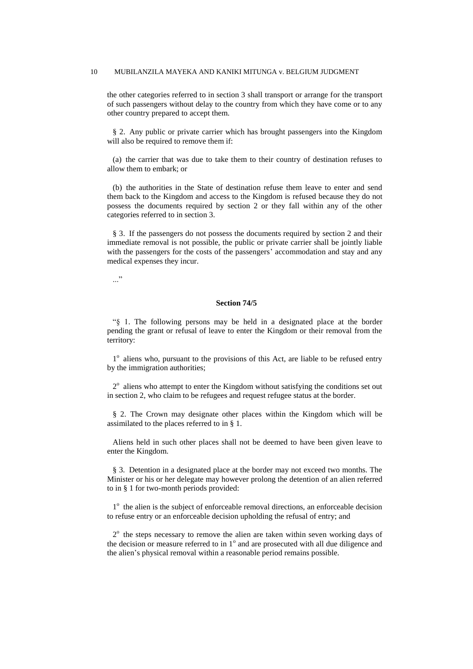the other categories referred to in section 3 shall transport or arrange for the transport of such passengers without delay to the country from which they have come or to any other country prepared to accept them.

§ 2.Any public or private carrier which has brought passengers into the Kingdom will also be required to remove them if:

(a) the carrier that was due to take them to their country of destination refuses to allow them to embark; or

(b) the authorities in the State of destination refuse them leave to enter and send them back to the Kingdom and access to the Kingdom is refused because they do not possess the documents required by section 2 or they fall within any of the other categories referred to in section 3.

§ 3. If the passengers do not possess the documents required by section 2 and their immediate removal is not possible, the public or private carrier shall be jointly liable with the passengers for the costs of the passengers' accommodation and stay and any medical expenses they incur.

..."

### **Section 74/5**

"§ 1. The following persons may be held in a designated place at the border pending the grant or refusal of leave to enter the Kingdom or their removal from the territory:

1<sup>°</sup> aliens who, pursuant to the provisions of this Act, are liable to be refused entry by the immigration authorities;

 $2^{\circ}$  aliens who attempt to enter the Kingdom without satisfying the conditions set out in section 2, who claim to be refugees and request refugee status at the border.

§ 2.The Crown may designate other places within the Kingdom which will be assimilated to the places referred to in § 1.

Aliens held in such other places shall not be deemed to have been given leave to enter the Kingdom.

§ 3.Detention in a designated place at the border may not exceed two months. The Minister or his or her delegate may however prolong the detention of an alien referred to in § 1 for two-month periods provided:

1<sup>°</sup> the alien is the subject of enforceable removal directions, an enforceable decision to refuse entry or an enforceable decision upholding the refusal of entry; and

2<sup>°</sup> the steps necessary to remove the alien are taken within seven working days of the decision or measure referred to in  $1^\circ$  and are prosecuted with all due diligence and the alien"s physical removal within a reasonable period remains possible.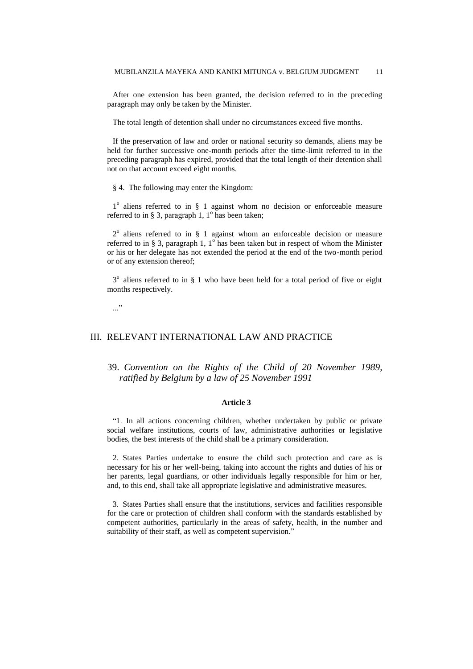After one extension has been granted, the decision referred to in the preceding paragraph may only be taken by the Minister.

The total length of detention shall under no circumstances exceed five months.

If the preservation of law and order or national security so demands, aliens may be held for further successive one-month periods after the time-limit referred to in the preceding paragraph has expired, provided that the total length of their detention shall not on that account exceed eight months.

§ 4. The following may enter the Kingdom:

1<sup>°</sup> aliens referred to in § 1 against whom no decision or enforceable measure referred to in § 3, paragraph 1,  $1^{\circ}$  has been taken;

2<sup>°</sup> aliens referred to in § 1 against whom an enforceable decision or measure referred to in § 3, paragraph 1,  $1^{\circ}$  has been taken but in respect of whom the Minister or his or her delegate has not extended the period at the end of the two-month period or of any extension thereof;

3<sup>°</sup> aliens referred to in § 1 who have been held for a total period of five or eight months respectively.

..."

# III. RELEVANT INTERNATIONAL LAW AND PRACTICE

39. *Convention on the Rights of the Child of 20 November 1989, ratified by Belgium by a law of 25 November 1991*

#### **Article 3**

"1. In all actions concerning children, whether undertaken by public or private social welfare institutions, courts of law, administrative authorities or legislative bodies, the best interests of the child shall be a primary consideration.

2. States Parties undertake to ensure the child such protection and care as is necessary for his or her well-being, taking into account the rights and duties of his or her parents, legal guardians, or other individuals legally responsible for him or her, and, to this end, shall take all appropriate legislative and administrative measures.

3. States Parties shall ensure that the institutions, services and facilities responsible for the care or protection of children shall conform with the standards established by competent authorities, particularly in the areas of safety, health, in the number and suitability of their staff, as well as competent supervision."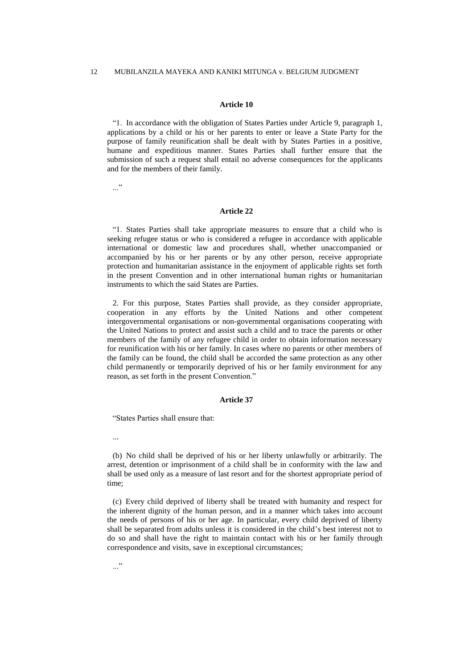#### **Article 10**

"1. In accordance with the obligation of States Parties under Article 9, paragraph 1, applications by a child or his or her parents to enter or leave a State Party for the purpose of family reunification shall be dealt with by States Parties in a positive, humane and expeditious manner. States Parties shall further ensure that the submission of such a request shall entail no adverse consequences for the applicants and for the members of their family.

 $\cdots$ "

#### **Article 22**

"1. States Parties shall take appropriate measures to ensure that a child who is seeking refugee status or who is considered a refugee in accordance with applicable international or domestic law and procedures shall, whether unaccompanied or accompanied by his or her parents or by any other person, receive appropriate protection and humanitarian assistance in the enjoyment of applicable rights set forth in the present Convention and in other international human rights or humanitarian instruments to which the said States are Parties.

2. For this purpose, States Parties shall provide, as they consider appropriate, cooperation in any efforts by the United Nations and other competent intergovernmental organisations or non-governmental organisations cooperating with the United Nations to protect and assist such a child and to trace the parents or other members of the family of any refugee child in order to obtain information necessary for reunification with his or her family. In cases where no parents or other members of the family can be found, the child shall be accorded the same protection as any other child permanently or temporarily deprived of his or her family environment for any reason, as set forth in the present Convention."

#### **Article 37**

"States Parties shall ensure that:

...

(b) No child shall be deprived of his or her liberty unlawfully or arbitrarily. The arrest, detention or imprisonment of a child shall be in conformity with the law and shall be used only as a measure of last resort and for the shortest appropriate period of time;

(c) Every child deprived of liberty shall be treated with humanity and respect for the inherent dignity of the human person, and in a manner which takes into account the needs of persons of his or her age. In particular, every child deprived of liberty shall be separated from adults unless it is considered in the child"s best interest not to do so and shall have the right to maintain contact with his or her family through correspondence and visits, save in exceptional circumstances;

..."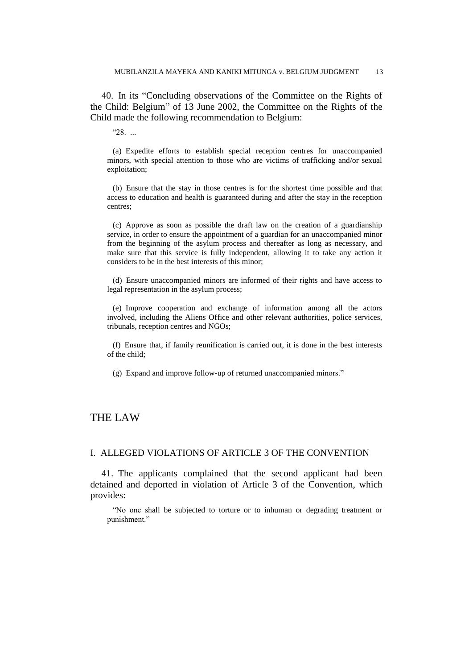40. In its "Concluding observations of the Committee on the Rights of the Child: Belgium" of 13 June 2002, the Committee on the Rights of the Child made the following recommendation to Belgium:

"28. ...

(a) Expedite efforts to establish special reception centres for unaccompanied minors, with special attention to those who are victims of trafficking and/or sexual exploitation;

(b) Ensure that the stay in those centres is for the shortest time possible and that access to education and health is guaranteed during and after the stay in the reception centres;

(c) Approve as soon as possible the draft law on the creation of a guardianship service, in order to ensure the appointment of a guardian for an unaccompanied minor from the beginning of the asylum process and thereafter as long as necessary, and make sure that this service is fully independent, allowing it to take any action it considers to be in the best interests of this minor;

(d) Ensure unaccompanied minors are informed of their rights and have access to legal representation in the asylum process;

(e) Improve cooperation and exchange of information among all the actors involved, including the Aliens Office and other relevant authorities, police services, tribunals, reception centres and NGOs;

(f) Ensure that, if family reunification is carried out, it is done in the best interests of the child;

(g) Expand and improve follow-up of returned unaccompanied minors."

# THE LAW

# I. ALLEGED VIOLATIONS OF ARTICLE 3 OF THE CONVENTION

41. The applicants complained that the second applicant had been detained and deported in violation of Article 3 of the Convention, which provides:

"No one shall be subjected to torture or to inhuman or degrading treatment or punishment."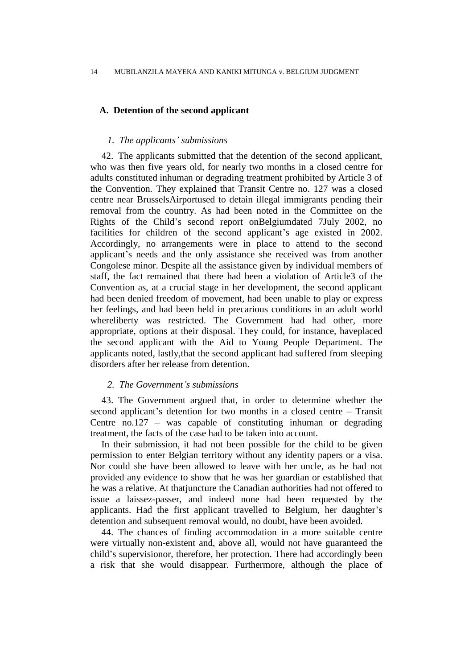# **A. Detention of the second applicant**

# *1. The applicants' submissions*

42. The applicants submitted that the detention of the second applicant, who was then five years old, for nearly two months in a closed centre for adults constituted inhuman or degrading treatment prohibited by Article 3 of the Convention. They explained that Transit Centre no. 127 was a closed centre near BrusselsAirportused to detain illegal immigrants pending their removal from the country. As had been noted in the Committee on the Rights of the Child"s second report onBelgiumdated 7July 2002, no facilities for children of the second applicant's age existed in 2002. Accordingly, no arrangements were in place to attend to the second applicant"s needs and the only assistance she received was from another Congolese minor. Despite all the assistance given by individual members of staff, the fact remained that there had been a violation of Article3 of the Convention as, at a crucial stage in her development, the second applicant had been denied freedom of movement, had been unable to play or express her feelings, and had been held in precarious conditions in an adult world whereliberty was restricted. The Government had had other, more appropriate, options at their disposal. They could, for instance, haveplaced the second applicant with the Aid to Young People Department. The applicants noted, lastly,that the second applicant had suffered from sleeping disorders after her release from detention.

#### *2. The Government's submissions*

43. The Government argued that, in order to determine whether the second applicant's detention for two months in a closed centre – Transit Centre no.127 – was capable of constituting inhuman or degrading treatment, the facts of the case had to be taken into account.

In their submission, it had not been possible for the child to be given permission to enter Belgian territory without any identity papers or a visa. Nor could she have been allowed to leave with her uncle, as he had not provided any evidence to show that he was her guardian or established that he was a relative. At thatjuncture the Canadian authorities had not offered to issue a laissez-passer, and indeed none had been requested by the applicants. Had the first applicant travelled to Belgium, her daughter"s detention and subsequent removal would, no doubt, have been avoided.

44. The chances of finding accommodation in a more suitable centre were virtually non-existent and, above all, would not have guaranteed the child"s supervisionor, therefore, her protection. There had accordingly been a risk that she would disappear. Furthermore, although the place of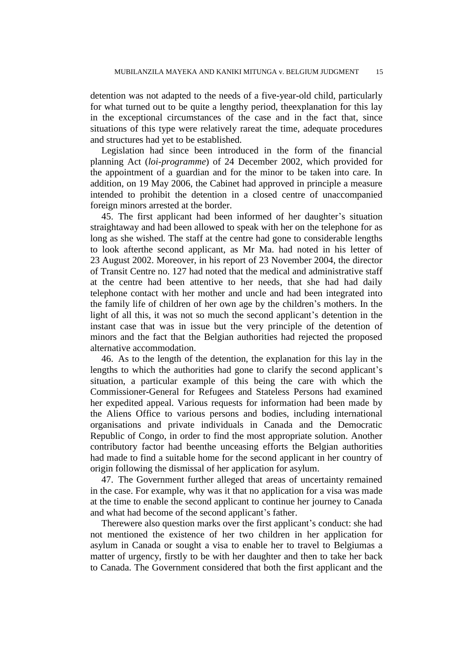detention was not adapted to the needs of a five-year-old child, particularly for what turned out to be quite a lengthy period, theexplanation for this lay in the exceptional circumstances of the case and in the fact that, since situations of this type were relatively rareat the time, adequate procedures and structures had yet to be established.

Legislation had since been introduced in the form of the financial planning Act (*loi-programme*) of 24 December 2002, which provided for the appointment of a guardian and for the minor to be taken into care. In addition, on 19 May 2006, the Cabinet had approved in principle a measure intended to prohibit the detention in a closed centre of unaccompanied foreign minors arrested at the border.

45. The first applicant had been informed of her daughter's situation straightaway and had been allowed to speak with her on the telephone for as long as she wished. The staff at the centre had gone to considerable lengths to look afterthe second applicant, as Mr Ma. had noted in his letter of 23 August 2002. Moreover, in his report of 23 November 2004, the director of Transit Centre no. 127 had noted that the medical and administrative staff at the centre had been attentive to her needs, that she had had daily telephone contact with her mother and uncle and had been integrated into the family life of children of her own age by the children"s mothers. In the light of all this, it was not so much the second applicant's detention in the instant case that was in issue but the very principle of the detention of minors and the fact that the Belgian authorities had rejected the proposed alternative accommodation.

46. As to the length of the detention, the explanation for this lay in the lengths to which the authorities had gone to clarify the second applicant's situation, a particular example of this being the care with which the Commissioner-General for Refugees and Stateless Persons had examined her expedited appeal. Various requests for information had been made by the Aliens Office to various persons and bodies, including international organisations and private individuals in Canada and the Democratic Republic of Congo, in order to find the most appropriate solution. Another contributory factor had beenthe unceasing efforts the Belgian authorities had made to find a suitable home for the second applicant in her country of origin following the dismissal of her application for asylum.

47. The Government further alleged that areas of uncertainty remained in the case. For example, why was it that no application for a visa was made at the time to enable the second applicant to continue her journey to Canada and what had become of the second applicant's father.

Therewere also question marks over the first applicant's conduct: she had not mentioned the existence of her two children in her application for asylum in Canada or sought a visa to enable her to travel to Belgiumas a matter of urgency, firstly to be with her daughter and then to take her back to Canada. The Government considered that both the first applicant and the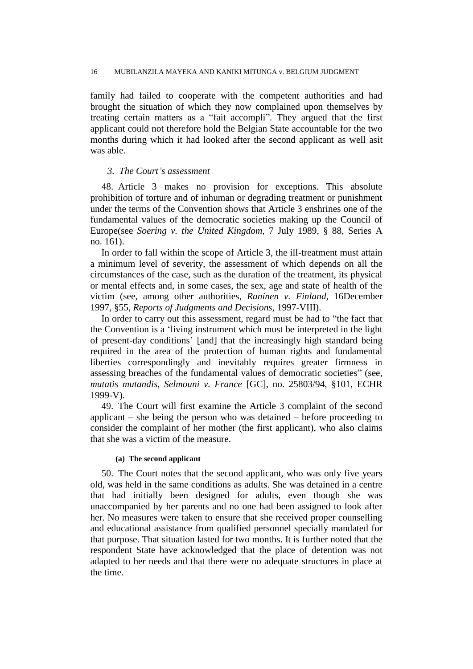family had failed to cooperate with the competent authorities and had brought the situation of which they now complained upon themselves by treating certain matters as a "fait accompli". They argued that the first applicant could not therefore hold the Belgian State accountable for the two months during which it had looked after the second applicant as well asit was able.

# *3. The Court's assessment*

48. Article 3 makes no provision for exceptions. This absolute prohibition of torture and of inhuman or degrading treatment or punishment under the terms of the Convention shows that Article 3 enshrines one of the fundamental values of the democratic societies making up the Council of Europe(see *Soering v. the United Kingdom*, 7 July 1989, § 88, Series A no. 161).

In order to fall within the scope of Article 3, the ill-treatment must attain a minimum level of severity, the assessment of which depends on all the circumstances of the case, such as the duration of the treatment, its physical or mental effects and, in some cases, the sex, age and state of health of the victim (see, among other authorities, *Raninen v. Finland*, 16December 1997, §55, *Reports of Judgments and Decisions*, 1997-VIII).

In order to carry out this assessment, regard must be had to "the fact that the Convention is a "living instrument which must be interpreted in the light of present-day conditions" [and] that the increasingly high standard being required in the area of the protection of human rights and fundamental liberties correspondingly and inevitably requires greater firmness in assessing breaches of the fundamental values of democratic societies" (see, *mutatis mutandis*, *Selmouni v. France* [GC], no. 25803/94, §101, ECHR 1999-V).

49. The Court will first examine the Article 3 complaint of the second applicant – she being the person who was detained – before proceeding to consider the complaint of her mother (the first applicant), who also claims that she was a victim of the measure.

# **(a) The second applicant**

50. The Court notes that the second applicant, who was only five years old, was held in the same conditions as adults. She was detained in a centre that had initially been designed for adults, even though she was unaccompanied by her parents and no one had been assigned to look after her. No measures were taken to ensure that she received proper counselling and educational assistance from qualified personnel specially mandated for that purpose. That situation lasted for two months. It is further noted that the respondent State have acknowledged that the place of detention was not adapted to her needs and that there were no adequate structures in place at the time.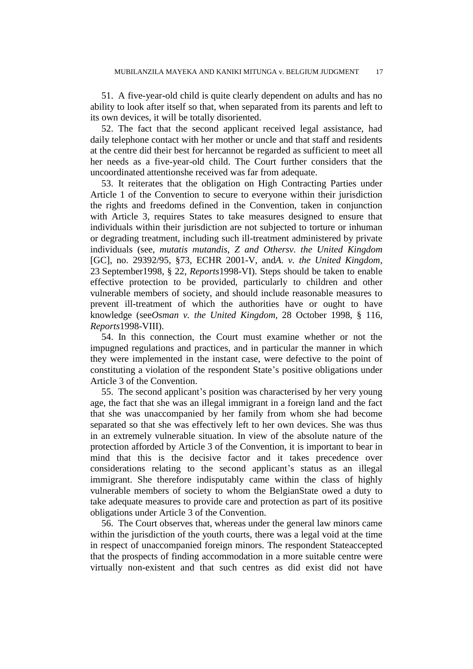51. A five-year-old child is quite clearly dependent on adults and has no ability to look after itself so that, when separated from its parents and left to its own devices, it will be totally disoriented.

52. The fact that the second applicant received legal assistance, had daily telephone contact with her mother or uncle and that staff and residents at the centre did their best for hercannot be regarded as sufficient to meet all her needs as a five-year-old child. The Court further considers that the uncoordinated attentionshe received was far from adequate.

53. It reiterates that the obligation on High Contracting Parties under Article 1 of the Convention to secure to everyone within their jurisdiction the rights and freedoms defined in the Convention, taken in conjunction with Article 3, requires States to take measures designed to ensure that individuals within their jurisdiction are not subjected to torture or inhuman or degrading treatment, including such ill-treatment administered by private individuals (see, *mutatis mutandis*, *Z and Othersv. the United Kingdom* [GC], no. 29392/95, §73, ECHR 2001-V, and*A. v. the United Kingdom*, 23 September1998, § 22, *Reports*1998-VI). Steps should be taken to enable effective protection to be provided, particularly to children and other vulnerable members of society, and should include reasonable measures to prevent ill-treatment of which the authorities have or ought to have knowledge (see*Osman v. the United Kingdom*, 28 October 1998, § 116, *Reports*1998-VIII).

54. In this connection, the Court must examine whether or not the impugned regulations and practices, and in particular the manner in which they were implemented in the instant case, were defective to the point of constituting a violation of the respondent State"s positive obligations under Article 3 of the Convention.

55. The second applicant"s position was characterised by her very young age, the fact that she was an illegal immigrant in a foreign land and the fact that she was unaccompanied by her family from whom she had become separated so that she was effectively left to her own devices. She was thus in an extremely vulnerable situation. In view of the absolute nature of the protection afforded by Article 3 of the Convention, it is important to bear in mind that this is the decisive factor and it takes precedence over considerations relating to the second applicant's status as an illegal immigrant. She therefore indisputably came within the class of highly vulnerable members of society to whom the BelgianState owed a duty to take adequate measures to provide care and protection as part of its positive obligations under Article 3 of the Convention.

56. The Court observes that, whereas under the general law minors came within the jurisdiction of the youth courts, there was a legal void at the time in respect of unaccompanied foreign minors. The respondent Stateaccepted that the prospects of finding accommodation in a more suitable centre were virtually non-existent and that such centres as did exist did not have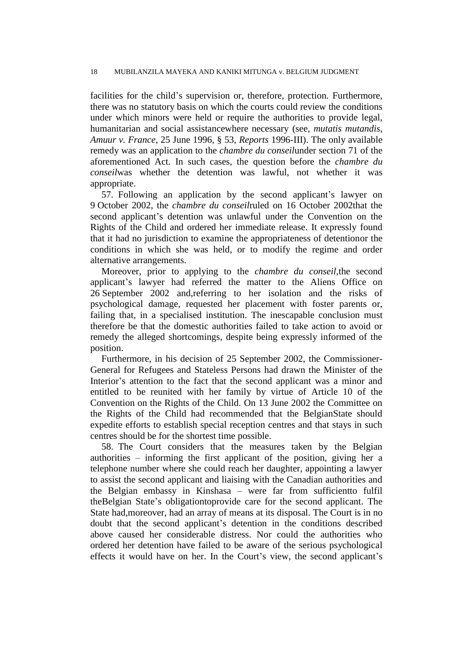facilities for the child"s supervision or, therefore, protection. Furthermore, there was no statutory basis on which the courts could review the conditions under which minors were held or require the authorities to provide legal, humanitarian and social assistancewhere necessary (see, *mutatis mutandis*, *Amuur v. France*, 25 June 1996, § 53, *Reports* 1996-III). The only available remedy was an application to the *chambre du conseil*under section 71 of the aforementioned Act. In such cases, the question before the *chambre du conseil*was whether the detention was lawful, not whether it was appropriate.

57. Following an application by the second applicant's lawyer on 9 October 2002, the *chambre du conseil*ruled on 16 October 2002that the second applicant's detention was unlawful under the Convention on the Rights of the Child and ordered her immediate release. It expressly found that it had no jurisdiction to examine the appropriateness of detentionor the conditions in which she was held, or to modify the regime and order alternative arrangements.

Moreover, prior to applying to the *chambre du conseil*,the second applicant"s lawyer had referred the matter to the Aliens Office on 26 September 2002 and,referring to her isolation and the risks of psychological damage, requested her placement with foster parents or, failing that, in a specialised institution. The inescapable conclusion must therefore be that the domestic authorities failed to take action to avoid or remedy the alleged shortcomings, despite being expressly informed of the position.

Furthermore, in his decision of 25 September 2002, the Commissioner-General for Refugees and Stateless Persons had drawn the Minister of the Interior's attention to the fact that the second applicant was a minor and entitled to be reunited with her family by virtue of Article 10 of the Convention on the Rights of the Child. On 13 June 2002 the Committee on the Rights of the Child had recommended that the BelgianState should expedite efforts to establish special reception centres and that stays in such centres should be for the shortest time possible.

58. The Court considers that the measures taken by the Belgian authorities – informing the first applicant of the position, giving her a telephone number where she could reach her daughter, appointing a lawyer to assist the second applicant and liaising with the Canadian authorities and the Belgian embassy in Kinshasa – were far from sufficientto fulfil theBelgian State"s obligationtoprovide care for the second applicant. The State had,moreover, had an array of means at its disposal. The Court is in no doubt that the second applicant"s detention in the conditions described above caused her considerable distress. Nor could the authorities who ordered her detention have failed to be aware of the serious psychological effects it would have on her. In the Court's view, the second applicant's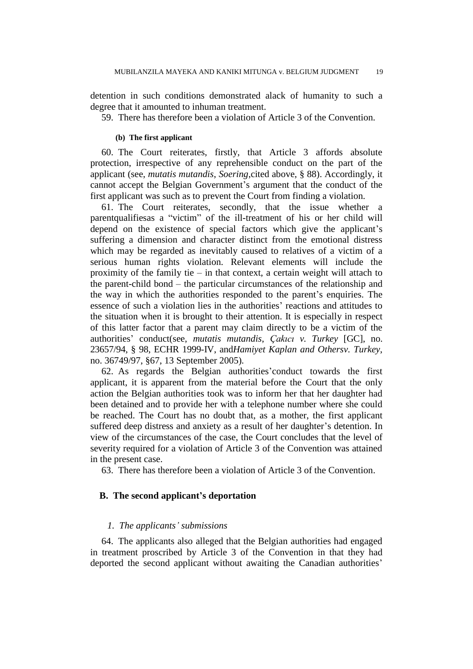detention in such conditions demonstrated alack of humanity to such a degree that it amounted to inhuman treatment.

59. There has therefore been a violation of Article 3 of the Convention.

# **(b) The first applicant**

60. The Court reiterates, firstly, that Article 3 affords absolute protection, irrespective of any reprehensible conduct on the part of the applicant (see, *mutatis mutandis*, *Soering*,cited above, § 88). Accordingly, it cannot accept the Belgian Government"s argument that the conduct of the first applicant was such as to prevent the Court from finding a violation.

61. The Court reiterates, secondly, that the issue whether a parentqualifiesas a "victim" of the ill-treatment of his or her child will depend on the existence of special factors which give the applicant's suffering a dimension and character distinct from the emotional distress which may be regarded as inevitably caused to relatives of a victim of a serious human rights violation. Relevant elements will include the proximity of the family tie – in that context, a certain weight will attach to the parent-child bond – the particular circumstances of the relationship and the way in which the authorities responded to the parent"s enquiries. The essence of such a violation lies in the authorities" reactions and attitudes to the situation when it is brought to their attention. It is especially in respect of this latter factor that a parent may claim directly to be a victim of the authorities" conduct(see, *mutatis mutandis*, *Çakıcı v. Turkey* [GC], no. 23657/94, § 98, ECHR 1999-IV, and*Hamiyet Kaplan and Othersv. Turkey*, no. 36749/97, §67, 13 September 2005).

62. As regards the Belgian authorities"conduct towards the first applicant, it is apparent from the material before the Court that the only action the Belgian authorities took was to inform her that her daughter had been detained and to provide her with a telephone number where she could be reached. The Court has no doubt that, as a mother, the first applicant suffered deep distress and anxiety as a result of her daughter's detention. In view of the circumstances of the case, the Court concludes that the level of severity required for a violation of Article 3 of the Convention was attained in the present case.

63. There has therefore been a violation of Article 3 of the Convention.

# **B. The second applicant's deportation**

### *1. The applicants' submissions*

64. The applicants also alleged that the Belgian authorities had engaged in treatment proscribed by Article 3 of the Convention in that they had deported the second applicant without awaiting the Canadian authorities'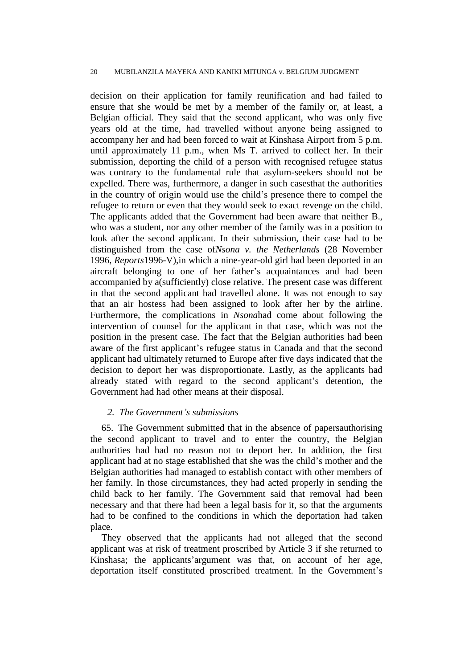decision on their application for family reunification and had failed to ensure that she would be met by a member of the family or, at least, a Belgian official. They said that the second applicant, who was only five years old at the time, had travelled without anyone being assigned to accompany her and had been forced to wait at Kinshasa Airport from 5 p.m. until approximately 11 p.m., when Ms T. arrived to collect her. In their submission, deporting the child of a person with recognised refugee status was contrary to the fundamental rule that asylum-seekers should not be expelled. There was, furthermore, a danger in such casesthat the authorities in the country of origin would use the child"s presence there to compel the refugee to return or even that they would seek to exact revenge on the child. The applicants added that the Government had been aware that neither B., who was a student, nor any other member of the family was in a position to look after the second applicant. In their submission, their case had to be distinguished from the case of*Nsona v. the Netherlands* (28 November 1996, *Reports*1996-V),in which a nine-year-old girl had been deported in an aircraft belonging to one of her father"s acquaintances and had been accompanied by a(sufficiently) close relative. The present case was different in that the second applicant had travelled alone. It was not enough to say that an air hostess had been assigned to look after her by the airline. Furthermore, the complications in *Nsona*had come about following the intervention of counsel for the applicant in that case, which was not the position in the present case. The fact that the Belgian authorities had been aware of the first applicant's refugee status in Canada and that the second applicant had ultimately returned to Europe after five days indicated that the decision to deport her was disproportionate. Lastly, as the applicants had already stated with regard to the second applicant's detention, the Government had had other means at their disposal.

# *2. The Government's submissions*

65. The Government submitted that in the absence of papersauthorising the second applicant to travel and to enter the country, the Belgian authorities had had no reason not to deport her. In addition, the first applicant had at no stage established that she was the child"s mother and the Belgian authorities had managed to establish contact with other members of her family. In those circumstances, they had acted properly in sending the child back to her family. The Government said that removal had been necessary and that there had been a legal basis for it, so that the arguments had to be confined to the conditions in which the deportation had taken place.

They observed that the applicants had not alleged that the second applicant was at risk of treatment proscribed by Article 3 if she returned to Kinshasa; the applicants'argument was that, on account of her age, deportation itself constituted proscribed treatment. In the Government's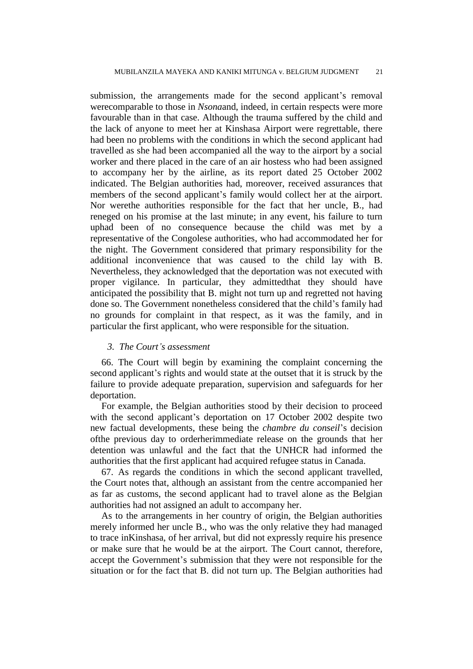submission, the arrangements made for the second applicant's removal werecomparable to those in *Nsona*and, indeed, in certain respects were more favourable than in that case. Although the trauma suffered by the child and the lack of anyone to meet her at Kinshasa Airport were regrettable, there had been no problems with the conditions in which the second applicant had travelled as she had been accompanied all the way to the airport by a social worker and there placed in the care of an air hostess who had been assigned to accompany her by the airline, as its report dated 25 October 2002 indicated. The Belgian authorities had, moreover, received assurances that members of the second applicant"s family would collect her at the airport. Nor werethe authorities responsible for the fact that her uncle, B., had reneged on his promise at the last minute; in any event, his failure to turn uphad been of no consequence because the child was met by a representative of the Congolese authorities, who had accommodated her for the night. The Government considered that primary responsibility for the additional inconvenience that was caused to the child lay with B. Nevertheless, they acknowledged that the deportation was not executed with proper vigilance. In particular, they admittedthat they should have anticipated the possibility that B. might not turn up and regretted not having done so. The Government nonetheless considered that the child"s family had no grounds for complaint in that respect, as it was the family, and in particular the first applicant, who were responsible for the situation.

# *3. The Court's assessment*

66. The Court will begin by examining the complaint concerning the second applicant"s rights and would state at the outset that it is struck by the failure to provide adequate preparation, supervision and safeguards for her deportation.

For example, the Belgian authorities stood by their decision to proceed with the second applicant's deportation on 17 October 2002 despite two new factual developments, these being the *chambre du conseil*"s decision ofthe previous day to orderherimmediate release on the grounds that her detention was unlawful and the fact that the UNHCR had informed the authorities that the first applicant had acquired refugee status in Canada.

67. As regards the conditions in which the second applicant travelled, the Court notes that, although an assistant from the centre accompanied her as far as customs, the second applicant had to travel alone as the Belgian authorities had not assigned an adult to accompany her.

As to the arrangements in her country of origin, the Belgian authorities merely informed her uncle B., who was the only relative they had managed to trace inKinshasa, of her arrival, but did not expressly require his presence or make sure that he would be at the airport. The Court cannot, therefore, accept the Government's submission that they were not responsible for the situation or for the fact that B. did not turn up. The Belgian authorities had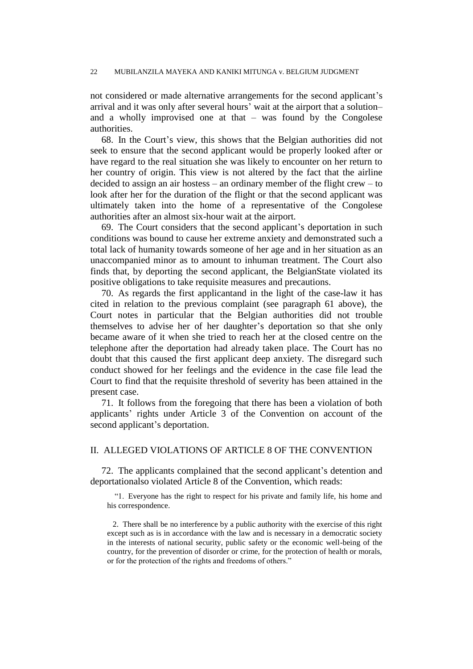not considered or made alternative arrangements for the second applicant's arrival and it was only after several hours' wait at the airport that a solutionand a wholly improvised one at that – was found by the Congolese authorities.

68. In the Court"s view, this shows that the Belgian authorities did not seek to ensure that the second applicant would be properly looked after or have regard to the real situation she was likely to encounter on her return to her country of origin. This view is not altered by the fact that the airline decided to assign an air hostess – an ordinary member of the flight crew – to look after her for the duration of the flight or that the second applicant was ultimately taken into the home of a representative of the Congolese authorities after an almost six-hour wait at the airport.

69. The Court considers that the second applicant's deportation in such conditions was bound to cause her extreme anxiety and demonstrated such a total lack of humanity towards someone of her age and in her situation as an unaccompanied minor as to amount to inhuman treatment. The Court also finds that, by deporting the second applicant, the BelgianState violated its positive obligations to take requisite measures and precautions.

70. As regards the first applicantand in the light of the case-law it has cited in relation to the previous complaint (see paragraph 61 above), the Court notes in particular that the Belgian authorities did not trouble themselves to advise her of her daughter"s deportation so that she only became aware of it when she tried to reach her at the closed centre on the telephone after the deportation had already taken place. The Court has no doubt that this caused the first applicant deep anxiety. The disregard such conduct showed for her feelings and the evidence in the case file lead the Court to find that the requisite threshold of severity has been attained in the present case.

71. It follows from the foregoing that there has been a violation of both applicants" rights under Article 3 of the Convention on account of the second applicant's deportation.

# II. ALLEGED VIOLATIONS OF ARTICLE 8 OF THE CONVENTION

72. The applicants complained that the second applicant"s detention and deportationalso violated Article 8 of the Convention, which reads:

"1. Everyone has the right to respect for his private and family life, his home and his correspondence.

2. There shall be no interference by a public authority with the exercise of this right except such as is in accordance with the law and is necessary in a democratic society in the interests of national security, public safety or the economic well-being of the country, for the prevention of disorder or crime, for the protection of health or morals, or for the protection of the rights and freedoms of others."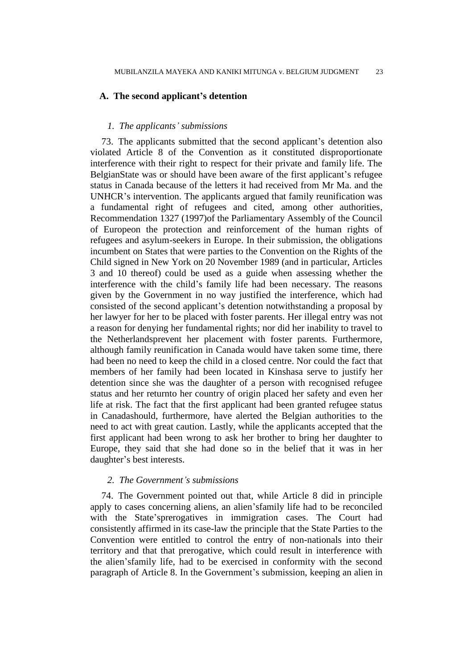# **A. The second applicant's detention**

# *1. The applicants' submissions*

73. The applicants submitted that the second applicant"s detention also violated Article 8 of the Convention as it constituted disproportionate interference with their right to respect for their private and family life. The BelgianState was or should have been aware of the first applicant's refugee status in Canada because of the letters it had received from Mr Ma. and the UNHCR"s intervention. The applicants argued that family reunification was a fundamental right of refugees and cited, among other authorities, Recommendation 1327 (1997)of the Parliamentary Assembly of the Council of Europeon the protection and reinforcement of the human rights of refugees and asylum-seekers in Europe. In their submission, the obligations incumbent on States that were parties to the Convention on the Rights of the Child signed in New York on 20 November 1989 (and in particular, Articles 3 and 10 thereof) could be used as a guide when assessing whether the interference with the child"s family life had been necessary. The reasons given by the Government in no way justified the interference, which had consisted of the second applicant"s detention notwithstanding a proposal by her lawyer for her to be placed with foster parents. Her illegal entry was not a reason for denying her fundamental rights; nor did her inability to travel to the Netherlandsprevent her placement with foster parents. Furthermore, although family reunification in Canada would have taken some time, there had been no need to keep the child in a closed centre. Nor could the fact that members of her family had been located in Kinshasa serve to justify her detention since she was the daughter of a person with recognised refugee status and her returnto her country of origin placed her safety and even her life at risk. The fact that the first applicant had been granted refugee status in Canadashould, furthermore, have alerted the Belgian authorities to the need to act with great caution. Lastly, while the applicants accepted that the first applicant had been wrong to ask her brother to bring her daughter to Europe, they said that she had done so in the belief that it was in her daughter's best interests.

# *2. The Government's submissions*

74. The Government pointed out that, while Article 8 did in principle apply to cases concerning aliens, an alien"sfamily life had to be reconciled with the State'sprerogatives in immigration cases. The Court had consistently affirmed in its case-law the principle that the State Parties to the Convention were entitled to control the entry of non-nationals into their territory and that that prerogative, which could result in interference with the alien"sfamily life, had to be exercised in conformity with the second paragraph of Article 8. In the Government"s submission, keeping an alien in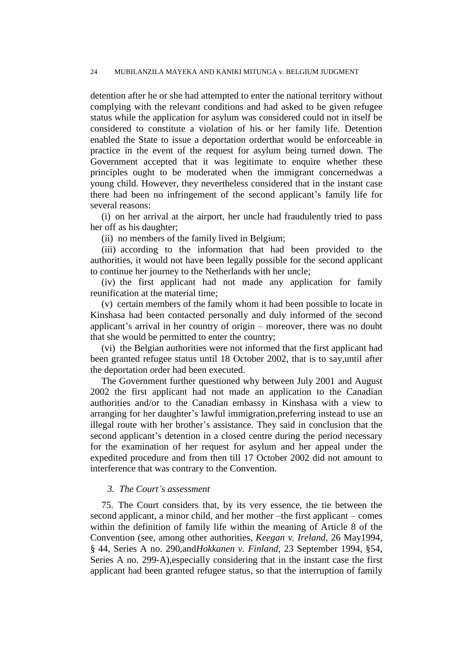detention after he or she had attempted to enter the national territory without complying with the relevant conditions and had asked to be given refugee status while the application for asylum was considered could not in itself be considered to constitute a violation of his or her family life. Detention enabled the State to issue a deportation orderthat would be enforceable in practice in the event of the request for asylum being turned down. The Government accepted that it was legitimate to enquire whether these principles ought to be moderated when the immigrant concernedwas a young child. However, they nevertheless considered that in the instant case there had been no infringement of the second applicant's family life for several reasons:

(i) on her arrival at the airport, her uncle had fraudulently tried to pass her off as his daughter;

(ii) no members of the family lived in Belgium;

(iii) according to the information that had been provided to the authorities, it would not have been legally possible for the second applicant to continue her journey to the Netherlands with her uncle;

(iv) the first applicant had not made any application for family reunification at the material time;

(v) certain members of the family whom it had been possible to locate in Kinshasa had been contacted personally and duly informed of the second applicant"s arrival in her country of origin – moreover, there was no doubt that she would be permitted to enter the country;

(vi) the Belgian authorities were not informed that the first applicant had been granted refugee status until 18 October 2002, that is to say,until after the deportation order had been executed.

The Government further questioned why between July 2001 and August 2002 the first applicant had not made an application to the Canadian authorities and/or to the Canadian embassy in Kinshasa with a view to arranging for her daughter"s lawful immigration,preferring instead to use an illegal route with her brother"s assistance. They said in conclusion that the second applicant's detention in a closed centre during the period necessary for the examination of her request for asylum and her appeal under the expedited procedure and from then till 17 October 2002 did not amount to interference that was contrary to the Convention.

### *3. The Court's assessment*

75. The Court considers that, by its very essence, the tie between the second applicant, a minor child, and her mother –the first applicant – comes within the definition of family life within the meaning of Article 8 of the Convention (see, among other authorities, *Keegan v. Ireland*, 26 May1994, § 44, Series A no. 290,and*Hokkanen v. Finland*, 23 September 1994, §54, Series A no. 299-A),especially considering that in the instant case the first applicant had been granted refugee status, so that the interruption of family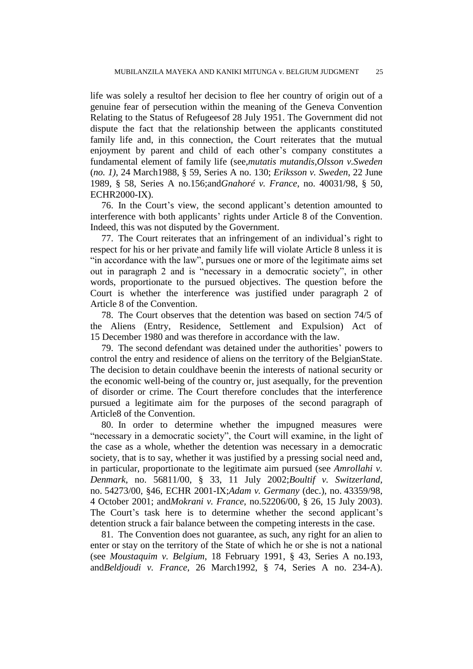life was solely a resultof her decision to flee her country of origin out of a genuine fear of persecution within the meaning of the Geneva Convention Relating to the Status of Refugeesof 28 July 1951. The Government did not dispute the fact that the relationship between the applicants constituted family life and, in this connection, the Court reiterates that the mutual enjoyment by parent and child of each other's company constitutes a fundamental element of family life (see,*mutatis mutandis*,*Olsson v.Sweden* (*no. 1)*, 24 March1988, § 59, Series A no. 130; *Eriksson v. Sweden*, 22 June 1989, § 58, Series A no.156;and*Gnahoré v. France*, no. 40031/98, § 50, ECHR2000-IX).

76. In the Court"s view, the second applicant"s detention amounted to interference with both applicants' rights under Article 8 of the Convention. Indeed, this was not disputed by the Government.

77. The Court reiterates that an infringement of an individual"s right to respect for his or her private and family life will violate Article 8 unless it is "in accordance with the law", pursues one or more of the legitimate aims set out in paragraph 2 and is "necessary in a democratic society", in other words, proportionate to the pursued objectives. The question before the Court is whether the interference was justified under paragraph 2 of Article 8 of the Convention.

78. The Court observes that the detention was based on section 74/5 of the Aliens (Entry, Residence, Settlement and Expulsion) Act of 15 December 1980 and was therefore in accordance with the law.

79. The second defendant was detained under the authorities" powers to control the entry and residence of aliens on the territory of the BelgianState. The decision to detain couldhave beenin the interests of national security or the economic well-being of the country or, just asequally, for the prevention of disorder or crime. The Court therefore concludes that the interference pursued a legitimate aim for the purposes of the second paragraph of Article8 of the Convention.

80. In order to determine whether the impugned measures were "necessary in a democratic society", the Court will examine, in the light of the case as a whole, whether the detention was necessary in a democratic society, that is to say, whether it was justified by a pressing social need and, in particular, proportionate to the legitimate aim pursued (see *Amrollahi v. Denmark*, no. 56811/00, § 33, 11 July 2002;*Boultif v. Switzerland*, no. 54273/00, §46, ECHR 2001-IX;*Adam v. Germany* (dec.), no. 43359/98, 4 October 2001; and*Mokrani v. France*, no.52206/00, § 26, 15 July 2003). The Court's task here is to determine whether the second applicant's detention struck a fair balance between the competing interests in the case.

81. The Convention does not guarantee, as such, any right for an alien to enter or stay on the territory of the State of which he or she is not a national (see *Moustaquim v. Belgium*, 18 February 1991, § 43, Series A no.193, and*Beldjoudi v. France*, 26 March1992, § 74, Series A no. 234-A).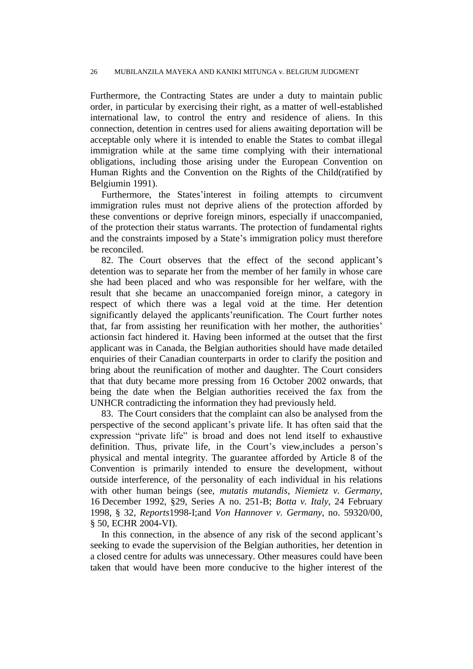Furthermore, the Contracting States are under a duty to maintain public order, in particular by exercising their right, as a matter of well-established international law, to control the entry and residence of aliens. In this connection, detention in centres used for aliens awaiting deportation will be acceptable only where it is intended to enable the States to combat illegal immigration while at the same time complying with their international obligations, including those arising under the European Convention on Human Rights and the Convention on the Rights of the Child(ratified by Belgiumin 1991).

Furthermore, the States'interest in foiling attempts to circumvent immigration rules must not deprive aliens of the protection afforded by these conventions or deprive foreign minors, especially if unaccompanied, of the protection their status warrants. The protection of fundamental rights and the constraints imposed by a State's immigration policy must therefore be reconciled.

82. The Court observes that the effect of the second applicant's detention was to separate her from the member of her family in whose care she had been placed and who was responsible for her welfare, with the result that she became an unaccompanied foreign minor, a category in respect of which there was a legal void at the time. Her detention significantly delayed the applicants' reunification. The Court further notes that, far from assisting her reunification with her mother, the authorities' actionsin fact hindered it. Having been informed at the outset that the first applicant was in Canada, the Belgian authorities should have made detailed enquiries of their Canadian counterparts in order to clarify the position and bring about the reunification of mother and daughter. The Court considers that that duty became more pressing from 16 October 2002 onwards, that being the date when the Belgian authorities received the fax from the UNHCR contradicting the information they had previously held.

83. The Court considers that the complaint can also be analysed from the perspective of the second applicant"s private life. It has often said that the expression "private life" is broad and does not lend itself to exhaustive definition. Thus, private life, in the Court's view, includes a person's physical and mental integrity. The guarantee afforded by Article 8 of the Convention is primarily intended to ensure the development, without outside interference, of the personality of each individual in his relations with other human beings (see, *mutatis mutandis*, *Niemietz v. Germany*, 16 December 1992, §29, Series A no. 251-B; *Botta v. Italy*, 24 February 1998, § 32, *Reports*1998-I;and *Von Hannover v. Germany*, no. 59320/00, § 50, ECHR 2004-VI).

In this connection, in the absence of any risk of the second applicant's seeking to evade the supervision of the Belgian authorities, her detention in a closed centre for adults was unnecessary. Other measures could have been taken that would have been more conducive to the higher interest of the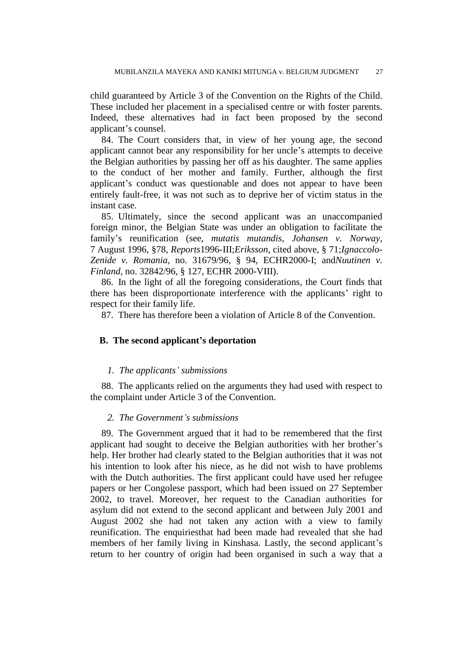child guaranteed by Article 3 of the Convention on the Rights of the Child. These included her placement in a specialised centre or with foster parents. Indeed, these alternatives had in fact been proposed by the second applicant"s counsel.

84. The Court considers that, in view of her young age, the second applicant cannot bear any responsibility for her uncle"s attempts to deceive the Belgian authorities by passing her off as his daughter. The same applies to the conduct of her mother and family. Further, although the first applicant"s conduct was questionable and does not appear to have been entirely fault-free, it was not such as to deprive her of victim status in the instant case.

85. Ultimately, since the second applicant was an unaccompanied foreign minor, the Belgian State was under an obligation to facilitate the family"s reunification (see, *mutatis mutandis*, *Johansen v. Norway*, 7 August 1996, §78, *Reports*1996-III;*Eriksson*, cited above, § 71;*Ignaccolo-Zenide v. Romania*, no. 31679/96, § 94, ECHR2000-I; and*Nuutinen v. Finland*, no. 32842/96, § 127, ECHR 2000-VIII).

86. In the light of all the foregoing considerations, the Court finds that there has been disproportionate interference with the applicants' right to respect for their family life.

87. There has therefore been a violation of Article 8 of the Convention.

# **B. The second applicant's deportation**

# *1. The applicants' submissions*

88. The applicants relied on the arguments they had used with respect to the complaint under Article 3 of the Convention.

# *2. The Government's submissions*

89. The Government argued that it had to be remembered that the first applicant had sought to deceive the Belgian authorities with her brother"s help. Her brother had clearly stated to the Belgian authorities that it was not his intention to look after his niece, as he did not wish to have problems with the Dutch authorities. The first applicant could have used her refugee papers or her Congolese passport, which had been issued on 27 September 2002, to travel. Moreover, her request to the Canadian authorities for asylum did not extend to the second applicant and between July 2001 and August 2002 she had not taken any action with a view to family reunification. The enquiriesthat had been made had revealed that she had members of her family living in Kinshasa. Lastly, the second applicant"s return to her country of origin had been organised in such a way that a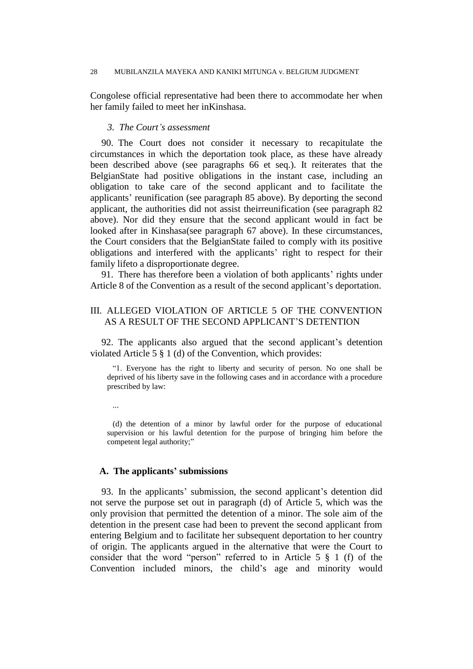Congolese official representative had been there to accommodate her when her family failed to meet her inKinshasa.

# *3. The Court's assessment*

90. The Court does not consider it necessary to recapitulate the circumstances in which the deportation took place, as these have already been described above (see paragraphs 66 et seq.). It reiterates that the BelgianState had positive obligations in the instant case, including an obligation to take care of the second applicant and to facilitate the applicants" reunification (see paragraph 85 above). By deporting the second applicant, the authorities did not assist theirreunification (see paragraph 82 above). Nor did they ensure that the second applicant would in fact be looked after in Kinshasa(see paragraph 67 above). In these circumstances, the Court considers that the BelgianState failed to comply with its positive obligations and interfered with the applicants' right to respect for their family lifeto a disproportionate degree.

91. There has therefore been a violation of both applicants' rights under Article 8 of the Convention as a result of the second applicant's deportation.

# III. ALLEGED VIOLATION OF ARTICLE 5 OF THE CONVENTION AS A RESULT OF THE SECOND APPLICANT"S DETENTION

92. The applicants also argued that the second applicant"s detention violated Article 5 § 1 (d) of the Convention, which provides:

"1. Everyone has the right to liberty and security of person. No one shall be deprived of his liberty save in the following cases and in accordance with a procedure prescribed by law:

(d) the detention of a minor by lawful order for the purpose of educational supervision or his lawful detention for the purpose of bringing him before the competent legal authority;"

# **A. The applicants' submissions**

...

93. In the applicants" submission, the second applicant"s detention did not serve the purpose set out in paragraph (d) of Article 5, which was the only provision that permitted the detention of a minor. The sole aim of the detention in the present case had been to prevent the second applicant from entering Belgium and to facilitate her subsequent deportation to her country of origin. The applicants argued in the alternative that were the Court to consider that the word "person" referred to in Article 5 § 1 (f) of the Convention included minors, the child"s age and minority would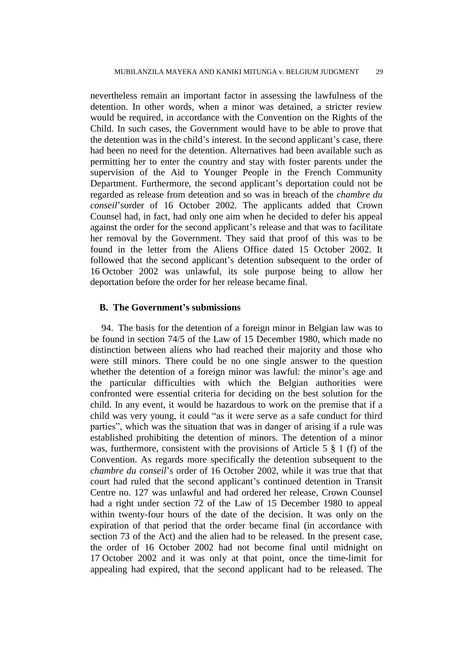nevertheless remain an important factor in assessing the lawfulness of the detention. In other words, when a minor was detained, a stricter review would be required, in accordance with the Convention on the Rights of the Child. In such cases, the Government would have to be able to prove that the detention was in the child's interest. In the second applicant's case, there had been no need for the detention. Alternatives had been available such as permitting her to enter the country and stay with foster parents under the supervision of the Aid to Younger People in the French Community Department. Furthermore, the second applicant's deportation could not be regarded as release from detention and so was in breach of the *chambre du conseil*"sorder of 16 October 2002. The applicants added that Crown Counsel had, in fact, had only one aim when he decided to defer his appeal against the order for the second applicant"s release and that was to facilitate her removal by the Government. They said that proof of this was to be found in the letter from the Aliens Office dated 15 October 2002. It followed that the second applicant"s detention subsequent to the order of 16 October 2002 was unlawful, its sole purpose being to allow her deportation before the order for her release became final.

# **B. The Government's submissions**

94. The basis for the detention of a foreign minor in Belgian law was to be found in section 74/5 of the Law of 15 December 1980, which made no distinction between aliens who had reached their majority and those who were still minors. There could be no one single answer to the question whether the detention of a foreign minor was lawful: the minor's age and the particular difficulties with which the Belgian authorities were confronted were essential criteria for deciding on the best solution for the child. In any event, it would be hazardous to work on the premise that if a child was very young, it could "as it were serve as a safe conduct for third parties", which was the situation that was in danger of arising if a rule was established prohibiting the detention of minors. The detention of a minor was, furthermore, consistent with the provisions of Article 5  $\S$  1 (f) of the Convention. As regards more specifically the detention subsequent to the *chambre du conseil*"s order of 16 October 2002, while it was true that that court had ruled that the second applicant"s continued detention in Transit Centre no. 127 was unlawful and had ordered her release, Crown Counsel had a right under section 72 of the Law of 15 December 1980 to appeal within twenty-four hours of the date of the decision. It was only on the expiration of that period that the order became final (in accordance with section 73 of the Act) and the alien had to be released. In the present case, the order of 16 October 2002 had not become final until midnight on 17 October 2002 and it was only at that point, once the time-limit for appealing had expired, that the second applicant had to be released. The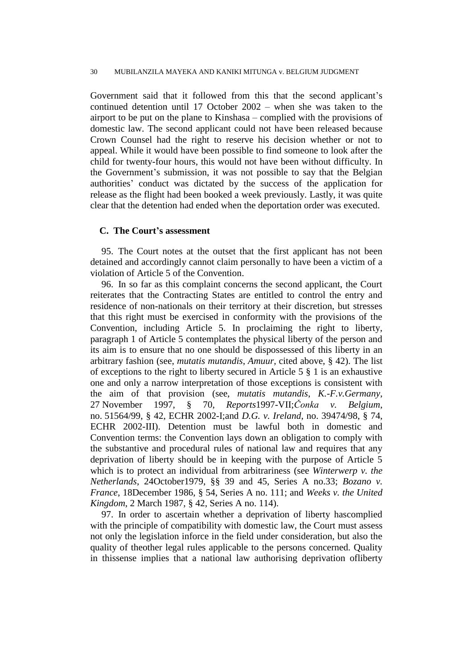Government said that it followed from this that the second applicant's continued detention until 17 October 2002 – when she was taken to the airport to be put on the plane to Kinshasa – complied with the provisions of domestic law. The second applicant could not have been released because Crown Counsel had the right to reserve his decision whether or not to appeal. While it would have been possible to find someone to look after the child for twenty-four hours, this would not have been without difficulty. In the Government"s submission, it was not possible to say that the Belgian authorities" conduct was dictated by the success of the application for release as the flight had been booked a week previously. Lastly, it was quite clear that the detention had ended when the deportation order was executed.

# **C. The Court's assessment**

95. The Court notes at the outset that the first applicant has not been detained and accordingly cannot claim personally to have been a victim of a violation of Article 5 of the Convention.

96. In so far as this complaint concerns the second applicant, the Court reiterates that the Contracting States are entitled to control the entry and residence of non-nationals on their territory at their discretion, but stresses that this right must be exercised in conformity with the provisions of the Convention, including Article 5. In proclaiming the right to liberty, paragraph 1 of Article 5 contemplates the physical liberty of the person and its aim is to ensure that no one should be dispossessed of this liberty in an arbitrary fashion (see, *mutatis mutandis*, *Amuur*, cited above, § 42). The list of exceptions to the right to liberty secured in Article 5 § 1 is an exhaustive one and only a narrow interpretation of those exceptions is consistent with the aim of that provision (see, *mutatis mutandis*, *K.-F.v.Germany*, 27 November 1997, § 70, *Reports*1997-VII;*Čonka v. Belgium*, no. 51564/99, § 42, ECHR 2002-I;and *D.G. v. Ireland*, no. 39474/98, § 74, ECHR 2002-III). Detention must be lawful both in domestic and Convention terms: the Convention lays down an obligation to comply with the substantive and procedural rules of national law and requires that any deprivation of liberty should be in keeping with the purpose of Article 5 which is to protect an individual from arbitrariness (see *Winterwerp v. the Netherlands*, 24October1979, §§ 39 and 45, Series A no.33; *Bozano v. France*, 18December 1986, § 54, Series A no. 111; and *Weeks v. the United Kingdom*, 2 March 1987, § 42, Series A no. 114).

97. In order to ascertain whether a deprivation of liberty hascomplied with the principle of compatibility with domestic law, the Court must assess not only the legislation inforce in the field under consideration, but also the quality of theother legal rules applicable to the persons concerned. Quality in thissense implies that a national law authorising deprivation ofliberty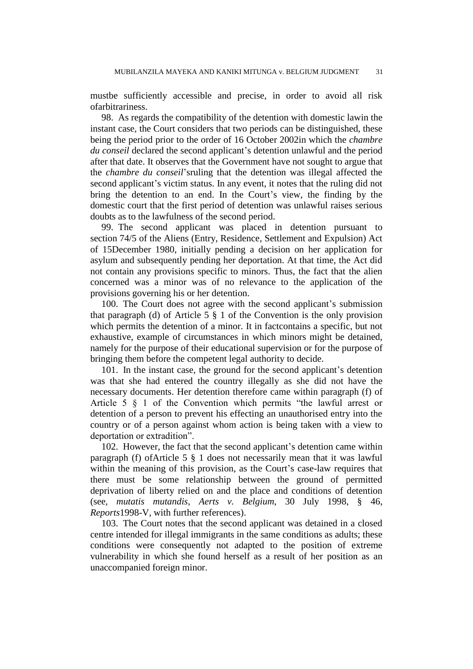mustbe sufficiently accessible and precise, in order to avoid all risk ofarbitrariness.

98. As regards the compatibility of the detention with domestic lawin the instant case, the Court considers that two periods can be distinguished, these being the period prior to the order of 16 October 2002in which the *chambre du conseil* declared the second applicant"s detention unlawful and the period after that date. It observes that the Government have not sought to argue that the *chambre du conseil*"sruling that the detention was illegal affected the second applicant"s victim status. In any event, it notes that the ruling did not bring the detention to an end. In the Court's view, the finding by the domestic court that the first period of detention was unlawful raises serious doubts as to the lawfulness of the second period.

99. The second applicant was placed in detention pursuant to section 74/5 of the Aliens (Entry, Residence, Settlement and Expulsion) Act of 15December 1980, initially pending a decision on her application for asylum and subsequently pending her deportation. At that time, the Act did not contain any provisions specific to minors. Thus, the fact that the alien concerned was a minor was of no relevance to the application of the provisions governing his or her detention.

100. The Court does not agree with the second applicant's submission that paragraph (d) of Article 5  $\S$  1 of the Convention is the only provision which permits the detention of a minor. It in factcontains a specific, but not exhaustive, example of circumstances in which minors might be detained, namely for the purpose of their educational supervision or for the purpose of bringing them before the competent legal authority to decide.

101. In the instant case, the ground for the second applicant"s detention was that she had entered the country illegally as she did not have the necessary documents. Her detention therefore came within paragraph (f) of Article 5 § 1 of the Convention which permits "the lawful arrest or detention of a person to prevent his effecting an unauthorised entry into the country or of a person against whom action is being taken with a view to deportation or extradition".

102. However, the fact that the second applicant's detention came within paragraph (f) ofArticle 5 § 1 does not necessarily mean that it was lawful within the meaning of this provision, as the Court's case-law requires that there must be some relationship between the ground of permitted deprivation of liberty relied on and the place and conditions of detention (see, *mutatis mutandis*, *Aerts v. Belgium*, 30 July 1998, § 46, *Reports*1998-V, with further references).

103. The Court notes that the second applicant was detained in a closed centre intended for illegal immigrants in the same conditions as adults; these conditions were consequently not adapted to the position of extreme vulnerability in which she found herself as a result of her position as an unaccompanied foreign minor.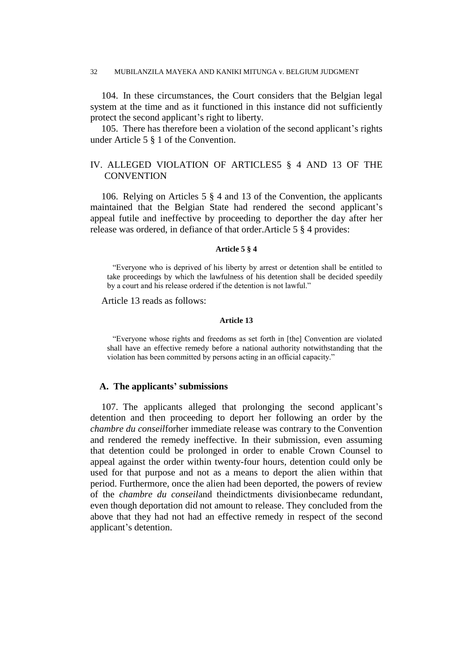104. In these circumstances, the Court considers that the Belgian legal system at the time and as it functioned in this instance did not sufficiently protect the second applicant"s right to liberty.

105. There has therefore been a violation of the second applicant"s rights under Article 5 § 1 of the Convention.

# IV. ALLEGED VIOLATION OF ARTICLES5 § 4 AND 13 OF THE **CONVENTION**

106. Relying on Articles 5 § 4 and 13 of the Convention, the applicants maintained that the Belgian State had rendered the second applicant"s appeal futile and ineffective by proceeding to deporther the day after her release was ordered, in defiance of that order.Article 5 § 4 provides:

## **Article 5 § 4**

"Everyone who is deprived of his liberty by arrest or detention shall be entitled to take proceedings by which the lawfulness of his detention shall be decided speedily by a court and his release ordered if the detention is not lawful."

Article 13 reads as follows:

#### **Article 13**

"Everyone whose rights and freedoms as set forth in [the] Convention are violated shall have an effective remedy before a national authority notwithstanding that the violation has been committed by persons acting in an official capacity."

# **A. The applicants' submissions**

107. The applicants alleged that prolonging the second applicant"s detention and then proceeding to deport her following an order by the *chambre du conseil*forher immediate release was contrary to the Convention and rendered the remedy ineffective. In their submission, even assuming that detention could be prolonged in order to enable Crown Counsel to appeal against the order within twenty-four hours, detention could only be used for that purpose and not as a means to deport the alien within that period. Furthermore, once the alien had been deported, the powers of review of the *chambre du conseil*and theindictments divisionbecame redundant, even though deportation did not amount to release. They concluded from the above that they had not had an effective remedy in respect of the second applicant"s detention.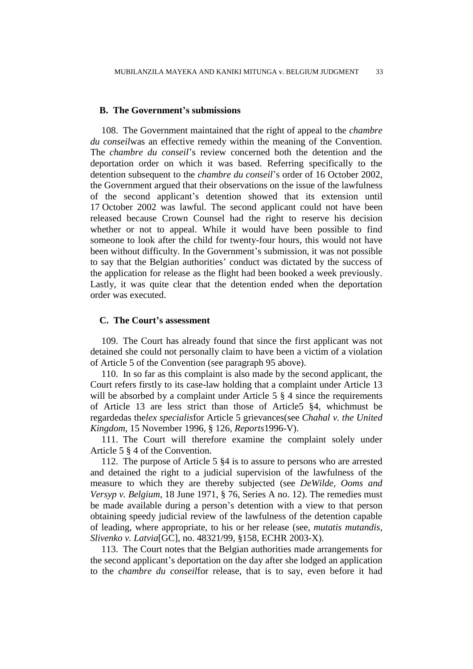# **B. The Government's submissions**

108. The Government maintained that the right of appeal to the *chambre du conseil*was an effective remedy within the meaning of the Convention. The *chambre du conseil*"s review concerned both the detention and the deportation order on which it was based. Referring specifically to the detention subsequent to the *chambre du conseil*"s order of 16 October 2002, the Government argued that their observations on the issue of the lawfulness of the second applicant"s detention showed that its extension until 17 October 2002 was lawful. The second applicant could not have been released because Crown Counsel had the right to reserve his decision whether or not to appeal. While it would have been possible to find someone to look after the child for twenty-four hours, this would not have been without difficulty. In the Government's submission, it was not possible to say that the Belgian authorities" conduct was dictated by the success of the application for release as the flight had been booked a week previously. Lastly, it was quite clear that the detention ended when the deportation order was executed.

# **C. The Court's assessment**

109. The Court has already found that since the first applicant was not detained she could not personally claim to have been a victim of a violation of Article 5 of the Convention (see paragraph 95 above).

110. In so far as this complaint is also made by the second applicant, the Court refers firstly to its case-law holding that a complaint under Article 13 will be absorbed by a complaint under Article 5  $\S$  4 since the requirements of Article 13 are less strict than those of Article5 §4, whichmust be regardedas the*lex specialis*for Article 5 grievances(see *Chahal v. the United Kingdom*, 15 November 1996, § 126, *Reports*1996-V).

111. The Court will therefore examine the complaint solely under Article 5 § 4 of the Convention.

112. The purpose of Article 5 §4 is to assure to persons who are arrested and detained the right to a judicial supervision of the lawfulness of the measure to which they are thereby subjected (see *DeWilde, Ooms and Versyp v. Belgium*, 18 June 1971, § 76, Series A no. 12). The remedies must be made available during a person"s detention with a view to that person obtaining speedy judicial review of the lawfulness of the detention capable of leading, where appropriate, to his or her release (see, *mutatis mutandis*, *Slivenko v. Latvia*[GC], no. 48321/99, §158, ECHR 2003-X).

113. The Court notes that the Belgian authorities made arrangements for the second applicant"s deportation on the day after she lodged an application to the *chambre du conseil*for release, that is to say, even before it had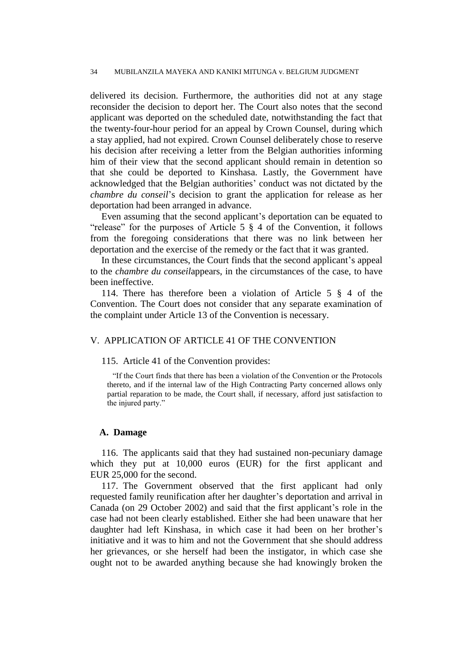delivered its decision. Furthermore, the authorities did not at any stage reconsider the decision to deport her. The Court also notes that the second applicant was deported on the scheduled date, notwithstanding the fact that the twenty-four-hour period for an appeal by Crown Counsel, during which a stay applied, had not expired. Crown Counsel deliberately chose to reserve his decision after receiving a letter from the Belgian authorities informing him of their view that the second applicant should remain in detention so that she could be deported to Kinshasa. Lastly, the Government have acknowledged that the Belgian authorities" conduct was not dictated by the *chambre du conseil*"s decision to grant the application for release as her deportation had been arranged in advance.

Even assuming that the second applicant's deportation can be equated to "release" for the purposes of Article 5 § 4 of the Convention, it follows from the foregoing considerations that there was no link between her deportation and the exercise of the remedy or the fact that it was granted.

In these circumstances, the Court finds that the second applicant's appeal to the *chambre du conseil*appears, in the circumstances of the case, to have been ineffective.

114. There has therefore been a violation of Article 5 § 4 of the Convention. The Court does not consider that any separate examination of the complaint under Article 13 of the Convention is necessary.

# V. APPLICATION OF ARTICLE 41 OF THE CONVENTION

#### 115. Article 41 of the Convention provides:

"If the Court finds that there has been a violation of the Convention or the Protocols thereto, and if the internal law of the High Contracting Party concerned allows only partial reparation to be made, the Court shall, if necessary, afford just satisfaction to the injured party."

## **A. Damage**

116. The applicants said that they had sustained non-pecuniary damage which they put at 10,000 euros (EUR) for the first applicant and EUR 25,000 for the second.

117. The Government observed that the first applicant had only requested family reunification after her daughter's deportation and arrival in Canada (on 29 October 2002) and said that the first applicant's role in the case had not been clearly established. Either she had been unaware that her daughter had left Kinshasa, in which case it had been on her brother"s initiative and it was to him and not the Government that she should address her grievances, or she herself had been the instigator, in which case she ought not to be awarded anything because she had knowingly broken the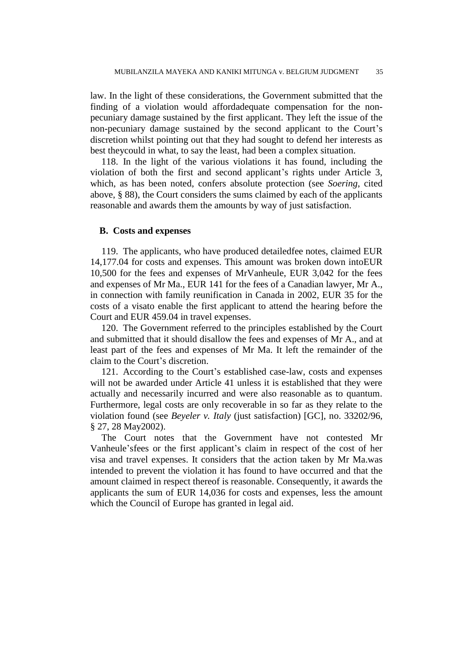law. In the light of these considerations, the Government submitted that the finding of a violation would affordadequate compensation for the nonpecuniary damage sustained by the first applicant. They left the issue of the non-pecuniary damage sustained by the second applicant to the Court's discretion whilst pointing out that they had sought to defend her interests as best theycould in what, to say the least, had been a complex situation.

118. In the light of the various violations it has found, including the violation of both the first and second applicant"s rights under Article 3, which, as has been noted, confers absolute protection (see *Soering*, cited above, § 88), the Court considers the sums claimed by each of the applicants reasonable and awards them the amounts by way of just satisfaction.

# **B. Costs and expenses**

119. The applicants, who have produced detailedfee notes, claimed EUR 14,177.04 for costs and expenses. This amount was broken down intoEUR 10,500 for the fees and expenses of MrVanheule, EUR 3,042 for the fees and expenses of Mr Ma., EUR 141 for the fees of a Canadian lawyer, Mr A., in connection with family reunification in Canada in 2002, EUR 35 for the costs of a visato enable the first applicant to attend the hearing before the Court and EUR 459.04 in travel expenses.

120. The Government referred to the principles established by the Court and submitted that it should disallow the fees and expenses of Mr A., and at least part of the fees and expenses of Mr Ma. It left the remainder of the claim to the Court's discretion.

121. According to the Court's established case-law, costs and expenses will not be awarded under Article 41 unless it is established that they were actually and necessarily incurred and were also reasonable as to quantum. Furthermore, legal costs are only recoverable in so far as they relate to the violation found (see *Beyeler v. Italy* (just satisfaction) [GC], no. 33202/96, § 27, 28 May2002).

The Court notes that the Government have not contested Mr Vanheule'sfees or the first applicant's claim in respect of the cost of her visa and travel expenses. It considers that the action taken by Mr Ma.was intended to prevent the violation it has found to have occurred and that the amount claimed in respect thereof is reasonable. Consequently, it awards the applicants the sum of EUR 14,036 for costs and expenses, less the amount which the Council of Europe has granted in legal aid.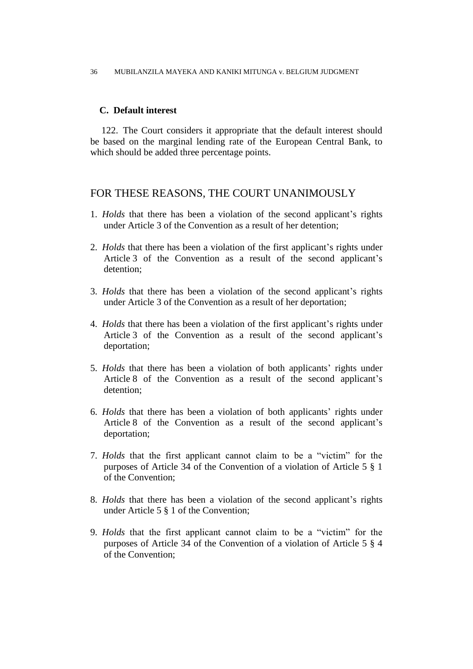# **C. Default interest**

122. The Court considers it appropriate that the default interest should be based on the marginal lending rate of the European Central Bank, to which should be added three percentage points.

# FOR THESE REASONS, THE COURT UNANIMOUSLY

- 1. *Holds* that there has been a violation of the second applicant's rights under Article 3 of the Convention as a result of her detention;
- 2. *Holds* that there has been a violation of the first applicant"s rights under Article 3 of the Convention as a result of the second applicant"s detention;
- 3. *Holds* that there has been a violation of the second applicant"s rights under Article 3 of the Convention as a result of her deportation;
- 4. *Holds* that there has been a violation of the first applicant"s rights under Article 3 of the Convention as a result of the second applicant's deportation;
- 5. *Holds* that there has been a violation of both applicants' rights under Article 8 of the Convention as a result of the second applicant's detention;
- 6. *Holds* that there has been a violation of both applicants" rights under Article 8 of the Convention as a result of the second applicant's deportation;
- 7. *Holds* that the first applicant cannot claim to be a "victim" for the purposes of Article 34 of the Convention of a violation of Article 5 § 1 of the Convention;
- 8. *Holds* that there has been a violation of the second applicant's rights under Article 5 § 1 of the Convention;
- 9. *Holds* that the first applicant cannot claim to be a "victim" for the purposes of Article 34 of the Convention of a violation of Article 5 § 4 of the Convention;